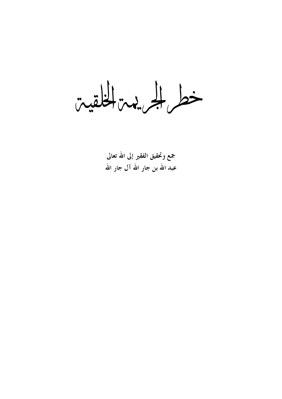خط الجريدين الخلقيين

جمع وتحقيق الفقير إلى الله تعالى عبد الله بن جار الله آل جار الله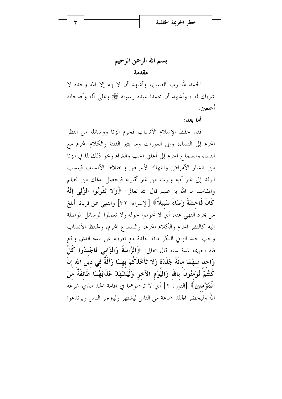بسم الله الرحمن الرحيم مقدمة

الحمد لله رب العالمين، وأشهد أن لا إله إلا الله وحده لا شريك له ، وأشهد أن محمدا عبده , سوله ﷺ وعلى آله وأصحابه أجمعين.

أما بعد:

فقد حفظ الإسلام الأنساب فحرم الزنا ووسائله من النظر المحرم إلى النساء، وإلى العورات وما يثير الفتنة والكلام المحرم مع النساء والسماع المحرم إلى أغاني الحب والغرام ونحو ذلك لما في الزنا من انتشار الأمراض وانتهاك الأعراض واحتلاط الأنساب فينسب الولد إلى غير أبيه ويرث من غير أقاربه فيحصل بذلك من الظلم والمفاسد ما الله به عليم قال الله تعالى: ﴿وَلَا تَقْرَبُوا الزَّنَبِي إِنَّهُ كَانَ فَاحِشَةً وَسَاءَ سَبِيلاً﴾ [الإسراء: ٣٢] والنهي عن قربانه أبلغ من مجرد النهي عنه، أي لا تحوموا حوله ولا تعملوا الوسائل الموصلة إليه كالنظر المحرم والكلام المحرم، والسماع المحرم، ولحفظ الأنساب وجب جلد الزاني البكر مائة جلدة مع تغريبه عن بلده الذي واقع فيه الجريمة لمدة سنة قال تعالى: ﴿الزَّانِيَةُ وَالزَّانِي فَاجْلِدُوا كُلَّ وَاحد منْهُمَا مائَةَ جَلْدَة وَلا تَأْخُذْكُمْ بهمَا رَأْفَةٌ في دين الله إنْ كُنْتُمْ تُؤْمُنُونَ بالله وَالْيَوْمِ الآخر وَلْيَشْهَدْ عَذَابَهُمَا طَائفَةٌ منَ الْمُؤْمِنينَ﴾ [النور: ٢] أي لا ترحموهما في إقامة الحد الذي شرعه الله وليحضر الجلد جماعة من الناس ليشتهر وليتزجر الناس ويرتدعوا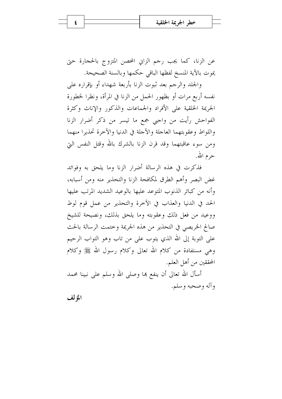عن الزنا، كما يجب رحم الزايي المحصن المتزوج بالحجارة حتى يموت بالآية المنسخ لفظها الباقي حكمها وبالسنة الصحيحة.

والجلد والرجم بعد ثبوت الزنا بأربعة شهداء أو بإقراره على نفسه أربع مرات أو بظهور الحمل من الزنا في المرأة، ونظرا لخطورة الجريمة الخلقية على الأفراد والجماعات والذكور والإناث وكثرة الفواحش رأيت من واجبي جمع ما تيسر من ذكر أضرار الزنا واللواط وعقوبتهما العاجلة والآجلة في الدنيا والآخرة تحذيرا منهما ومن سوء عاقبتهما وقد قرن الزنا بالشرك بالله وقتل النفس التي حرم الله.

فذكرت في هذه الرسالة أضرار الزنا وما يلحق به وفوائد غض البصر وأهم الطرق لمكافحة الزنا والتحذير منه ومن أسبابه، وأنه من كبائر الذنوب المتوعد عليها بالوعيد الشديد المرتب عليها الحد في الدنيا والعذاب في الآخرة والتحذير من عمل قوم لوط ووعيد من فعل ذلك وعقوبته وما يلحق بذلك، ونصيحة للشيخ صالح الخريصي في التحذير من هذه الجريمة وختمت الرسالة بالحث على التوبة إلى الله الذي يتوب على من تاب وهو التواب الرحيم وهي مستفادة من كلام الله تعالى وكلام رسول الله ﷺ وكلام المحققين من أهل العلم.

أسأل الله تعالى أن ينفع ها وصلى الله وسلم على نبينا محمد وآله وصحبه وسلم.

المؤلف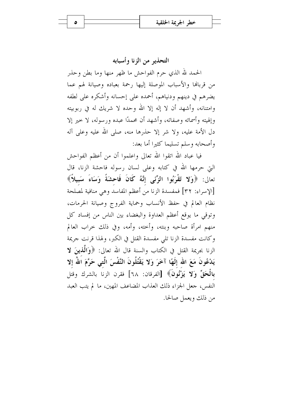التحذير من الزنا وأسبابه

الحمد لله الذي حرم الفواحش ما ظهر منها وما بطن وحذر من قربالها والأسباب الموصلة إليها رحمة بعباده وصيانة لهم عما يضرهم في دينهم ودنياهم، أحمده على إحسانه وأشكره على لطفه وامتنانه، وأشهد أن لا إله إلا الله وحده لا شريك له في ربوبيته وإلهيته وأسمائه وصفاته، وأشهد أن محمدًا عبده ورسوله، لا حير إلا دل الأمة عليه، ولا شر إلا حذرها منه، صلى الله عليه وعلى آله وأصحابه وسلم تسليما كثيرا أما بعد:

فيا عباد الله اتقوا الله تعالى واعلموا أن من أعظم الفواحش التي حرمها الله في كتابه وعلى لسان رسوله فاحشة الزنا، قال تعالى: ﴿وَلا تَقْرَبُوا الزِّنَبِي إِنَّهُ كَانَ فَاحِشَةً وَسَاءَ سَبِيلاً﴾ [الإسراء: ٣٢] فمفسدة الزنا من أعظم المفاسد وهي منافية لمصلحة نظام العالم في حفظ الأنساب وحماية الفروج وصيانة الحرمات، وتوقي ما يوقع أعظم العداوة والبغضاء بين الناس من إفساد كل منهم امرأة صاحبه وبنته، وأخته، وأمه، وفي ذلك حراب العالم وكانت مفسدة الزنا تلى مفسدة القتل في الكبر، ولهذا قرنت جريمة الزنا بجريمة القتل في الكتاب والسنة قال الله تعالى: ﴿وَالَّذِينَ لا يَدْعُونَ مَعَ الله إلَهًا آخَرَ وَلا يَقْتُلُونَ النَّفْسَ الَّتى حَرَّمَ اللهُ إلا بِالْحَقِّ وَلا يَزْنُونَ﴾ [الفرقان: ٦٨] فقرن الزنا بالشرك وقتل النفس، جعل الجزاء ذلك العذاب المضاعف المهين، ما لم يتب العبد من ذلك ويعمل صالحا.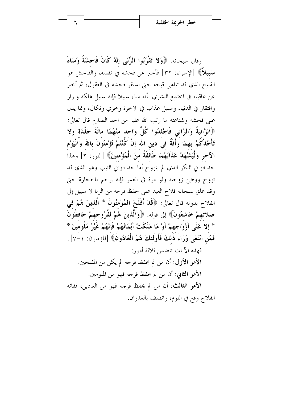وقال سبحانه: ﴿وَلا تَقْرَبُوا الزِّنَى إِنَّهُ كَانَ فَاحِشَةً وَسَاءَ سَبِيلاً﴾ [الإسراء: ٣٢] فأخبر عن فحشه في نفسه، والفاحش هو القبيح الذي قد تناهي قبحه حتى استقر فحشه في العقول، ثم أخبر عن عاقبته في المحتمع البشري بأنه ساء سبيلا فإنه سبيل هلكه وبوار وافتقار في الدنيا، وسبيل عذاب في الآخرة وخزي ونكال، ومما يدل على فحشه وشناعته ما رتب الله عليه من الحد الصارم قال تعالى: ﴿الزَّانِيَةُ وَالزَّانِي فَاجْلِدُوا كُلَّ وَاحِدٍ مِنْهُمَا مِائَةَ جَلْدَةٍ وَلا تَأْخُذْكُمْ بهمَا رَأْفَةٌ في دين الله إنْ كُنْتُمْ تُؤْمنُونَ بالله وَالْيَوْم الآخرِ وَلْيَشْهَدْ عَذَابَهُمَا طَائَفَةٌ منَ الْمُؤْمنينَ﴾ [النور: ٢] وهذا حد الزاني البكر الذي لم يتزوج أما حد الزاني الثيب وهو الذي قد تزوج ووطئ زوجته ولو مرة في العمر فإنه يرجم بالحجارة حتى وقد علق سبحانه فلاح العبد على حفظ فرجه من الزنا لا سبيل إلى الفلاح بدونه قال تعالى: ﴿قَلْ أَفْلَحَ الْمُؤْمِنُونَ \* الَّذِينَ هُمْ فِي صَلاتهمْ خَاشعُونَ﴾ إلى قوله: ﴿وَالَّذِينَ هُمْ لِفُرُوجِهِمْ حَافِظُونَ \* إلا عَلَى أَزْوَاجهمْ أَوْ مَا مَلَكَتْ أَيْمَانُهُمْ فَإِنَّهُمْ غَيْرُ مَلُومِينَ \* فَمَنِ ابْتَغَى وَرَاءَ ذَٰلكَ فَأُولَئكَ هُمُ الْعَادُونَ﴾ [المؤمنون: ١-٧]. فهذه الآيات تتضمن ثلاثة أمور: الأَمَرِ الأَوْلِ: أن من لم يحفظ فرجه لم يكن من المفلحين. الأُمو الثاني: أن من لم يحفظ فرجه فهو من الملومين. الأُمرِ الثالث: أن من لم يحفظ فرجه فهو من العادين، ففاته الفلاح وقع في اللوم، واتصف بالعدوان.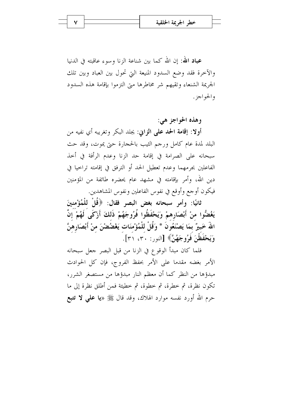**عباد الله**: إن الله كما بين شناعة الزنا وسوء عاقبته في الدنيا والآخرة فقد وضع السدود المنيعة التي تحول بين العباد وبين تلك الجريمة الشنعاء وتقيهم شر مخاطرها ميّ التزموا بإقامة هذه السدود والجواجز .

وهذه الحواجز هي:

أو لا: إقامة الحد على الزابي: يجلد البكر وتغريبه أي نفيه من البلد لمدة عام كامل ورجم الثيب بالحجارة حتى يموت، وقد حث سبحانه على الصرامة في إقامة حد الزنا وعدم الرأفة في أحذ الفاعلين بجرمهما وعدم تعطيل الحد أو الترفق في إقامته تراحيا في دين الله، وأمر بإقامته في مشهد عام يحضره طائفة من المؤمنين فيكون أوجع وأوقع في نفوس الفاعلين ونفوس المشاهدين.

ثانيًا: وأمر سبحانه بغض البصر فقال: ﴿قُلْ لِلْمُؤْمِنِينَ يَغْضُوا منْ أَبْصَارِهِمْ وَيَحْفَظُوا فُرُوجَهُمْ ذَلكَ أَرْكَى لَهُمْ إِنَّ اللَّهَ خَبيرٌ بمَا يَصْنَعُونَ \* وَقُلْ للْمُؤْمنَات يَغْضُضْنَ منْ أَبْصَارِهنَّ وَيَحْفَظْنَ فَوُوجَهُنَّ﴾ [النور: ٣٠، ٣١].

فلما كان مبدأ الوقوع في الزنا من قبل البصر جعل سبحانه الأمر بغضه مقدما على الأمر بحفظ الفروج، فإن كل الحوادث مبدؤها من النظر كما أن معظم النار مبدؤها من مستصغر الشرر، تكون نظرة، ثم خطرة، ثم خطوة، ثم خطيئة فمن أطلق نظرة إلى ما حرم الله أورد نفسه موارد الهلاك، وقد قال ﷺ «**يا على لا تتبع**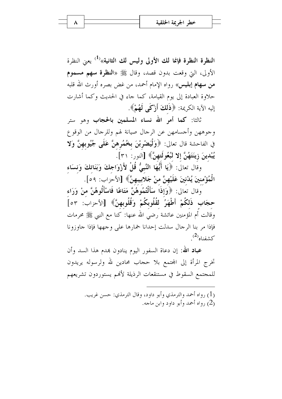النظرة النظرة فإنما لك الأولى وليس لك الثانية»<sup>(1)</sup> يعني النظرة الأولى، التي وقعت بدون قصد، وقال ﷺ «ا**لنظرة سهم مسموم من سهام إبليس**» رواه الإمام أحمد، من غض بصره أورث الله قلبه حلاوة العبادة إلى يوم القيامة، كما جاء في الحديث وكما أشارت إليه الآية الكريمة: ﴿ذَلِكَ أَزْكَى لَهُمْ﴾.

ثالثا: كما أمر الله نساء المسلمين بالحجاب وهو ستر وجوههن وأجسامهن عن الرحال صيانة لهم وللرحال من الوقوع فى الفاحشة قال تعالى: ﴿وَلْيَصْرِبْنَ بِخُمُرِهِنَّ عَلَى جُيُوبِهِنَّ وَلا يُبْدينَ زِينَتَهُنَّ إِلا لَبُعُولَتهنَّ﴾ [النور: ٣١].

وقَال تعالَى: ﴿يَا أَيُّهَا النَّبِيُّ قُلْ لِأَزْوَاجِكَ وَبَنَاتِكَ وَنسَاء الْمُؤْمِنِينَ يُدْنِينَ عَلَيْهِنَّ منْ جَلابِيبِهِنَّ﴾ [الأحزاب: ٥٩].

وقال تعالى: ﴿وَإِذَا سَأَلْتُمُوهُنَّ مَتَاعًا فَاسْأَلُوهُنَّ منْ وَرَاء حجَابِ ذَلكُمْ أَطْهَرُ لقُلُوبكُمْ وَقُلُوبهنَّ﴾ [الأحزاب: ٥٣] وقالت أم المؤمنين عائشة رضي الله عنها: كنا مع النبي ﷺ محرمات فإذا مر بنا الرجال سدلت إحدانا خمارها على وجهها فإذا جاوزونا  $^{(2)}$ كشفناه $^{(2)}$ 

**عباد الله**: إن دعاة السفور اليوم ينادون بمدم هذا السد وأن تخرج المرأة إلى المحتمع بلا حجاب محادين لله ولرسوله يريدون للمجتمع السقوط في مستنقعات الرذيلة لأفمم يستوردون تشريعهم

> (1) , واه أحمد والترمذي وأبو داود، وقال الترمذي: حسن غريب. , واه أحمد وأبو داو د وابن ماجه) (2)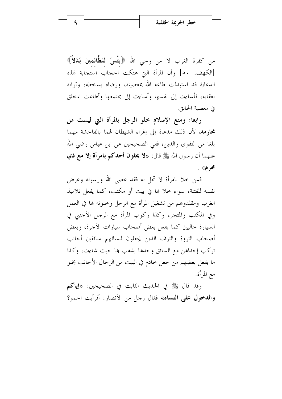من كفرة الغرب لا من وحي الله ﴿بِغْسَ لِلظَّالِمِينَ بَدَلاً﴾ [الكهف: ٥٠] وأن المرأة التي هتكت الحجاب استجابة لهذه الدعاية قد استبدلت طاعة الله بمعصيته، ورضاه بسخطه، وثوابه بعقابه، فأساءت إلى نفسها وأساءت إلى مجتمعها وأطاعت المخلق في معصبة الخالق.

رابعا: ومنع الإسلام خلو الرجل بالمرأة التي ليست من محارمه، لأن ذلك مدعاة إلى إغراء الشيطان لهما بالفاحشة مهما بلغا من التقوى والدين، ففي الصحيحين عن ابن عباس رضي الله عنهما أن رسول الله ﷺ قال: «لا يخلون أحدكم بامرأة إلا مع ذي محرم» .

فمن حلا بامرأة لا تحل له فقد عصبي الله ورسوله وعرض نفسه للفتنة، سواء حلاً ها في بيت أو مكتب، كما يفعل تلاميذ الغرب ومقلدوهم من تشغيل المرأة مع الرحل وخلوته ها في العمل وفي المكتب والمتجر، وكذا ركوب المرأة مع الرجل الأجنبي في السيارة خاليين كما يفعل بعض أصحاب سيارات الأجرة، وبعض أصحاب الثروة والترف الذين يجعلون لنسائهم سائقين أجانب تركب إحداهن مع السائق وحدها يذهب ها حيث شاءت، وكذا ما يفعل بعضهم من جعل حادم في البيت من الرجال الأجانب يخلو مع المرأة.

وقد قال ﷺ في الحديث الثابت في الصحيحين: «إياكم و**الدخول على النساء**» فقال رجل من الأنصار: أفرأيت الحمو؟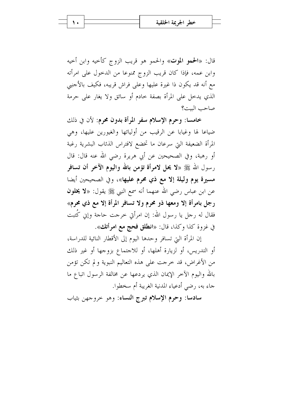قال: «الحمو الموت» والحمو هو قريب الزوج كأحيه وابن أحيه وابن عمه، فإذا كان قريب الزوج ممنوعا من الدخول على امرأته مع أنه قد يكون ذا غيرة عليها وعلى فراش قريبه، فكيف بالأجنبي الذي يدخل على المرأة بصفة خادم أو سائق ولا يغار على حرمة صاحب البت؟

خامسا: وحرم الإسلام سفر المرأة بدون محرم: لأن في ذلك ضياعا لها وغيابا عن الرقيب من أوليائها والغيورين عليها، وهي المرأة الضعيفة التي سرعان ما تخضع لافتراس الذئاب البشرية رغبة أو رهبة، وفي الصحيحين عن أبي هريرة رضي الله عنه قال: قال رسول الله ﷺ «لا يحل لامرأة تؤمن بالله واليوم الآخر أن تسافر مسيرة يوم وليلة إلا مع ذي محرم عليها»، وفي الصحيحين أيضا عن ابن عباس رضي الله عنهما أنه سمع النبي ﷺ يقول: «لا **يخلون** رجل بامرأة إلا ومعها ذو محرم ولا تسافر المرأة إلا مع ذي محرم» فقال له رجل يا رسول الله: إن امرأتي خرجت حاجة وإين كُتبت في غزوة كذا وكذا، قال: «ا**نطلق فحج مع امرأتك**».

إن المرأة التي تسافر وحدها اليوم إلى الأقطار النائية للدراسة، أو التدريس، أو لزيارة أهلها، أو للاحتماع بزوجها أو غير ذلك من الأغراض، قد خرجت على هذه التعاليم النبوية ولم تكن تؤمن بالله واليوم الآخر الإيمان الذي يردعها عن مخالفة الرسول اتباع ما جاء به، رضي أدعياء المدنية الغريبة أم سخطوا.

سادسا: وحرم الإسلام تبرج النساء: وهو حروجهن بثياب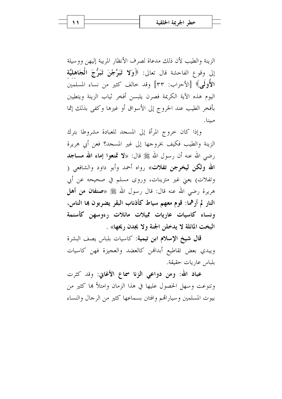الزينة والطيب لأن ذلك مدعاة لصرف الأنظار المريبة إليهن ووسيلة إِلِي وقوعِ الفاحشةِ قال تعالى: ﴿وَلا تَبَرَّجْنَ تَبَرُّجَ الْجَاهِلِيَّةِ الأَولَى﴾ [الأحزاب: ٣٣] وقد حالف كثير من نساء المسلمين اليوم هذه الآية الكريمة فصرن يلبسن أفخر ثياب الزينة ويتطيبن بأفخر الطيب عند الخروج إلى الأسواق أو غيرها وكفي بذلك إثما مبينا.

وإذا كان خروج المرأة إلى المسحد للعبادة مشروطا بترك الزينة والطيب فكيف بخروجها إلى غير المسجد؟ فعن أبي هريرة رضي الله عنه أن رسول الله ﷺ قال: «لا تمنعوا إماء الله مساجد الله ولكن ليخرجن تفلات» رواه أحمد وأبو داود والشافعي ( وتفلات) يعني غير متزينات، وروى مسلم في صحيحه عن أبي هريرة رضي الله عنه قال: قال رسول الله ﷺ «**صنفان من أهل** النار لم أرهما: قوم معهم سياط كأذناب البقر يضربون بما الناس، ونساء كاسيات عاريات مميلات مائلات رءوسهن كأسنمة البخت المائلة لا يدخلن الجنة ولا يجدن ريحها» .

قال شيخ الإسلام ابن تيمية: كاسيات بلباس يصف البشرة ويبدي بعض تقاطيع أبدالهن كالعضد والعجيزة فهن كاسيات بلباس عاريات حقيقة.

عباد الله: ومن دواعي الزِنا سماع الأغابي: وقد كثرت وتنوعت وسهل الحصول عليها في هذا الزمان وامتلأ ها كثير من بيوت المسلمين وسياراتهم وافتتن بسماعها كثير من الرجال والنساء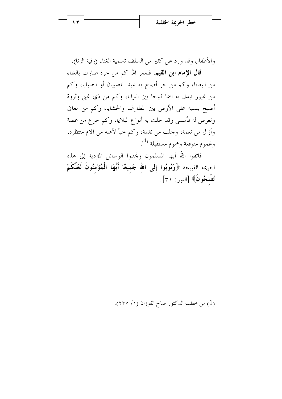والأطفال وقد ورد عن كثير من السلف تسمية الغناء (رقية الزنا). قال الإمام ابن القيم: فلعمر الله كم من حرة صارت بالغناء من البغايا، وكم من حر أصبح به عبدا للصبيان أو الصبايا، وكم من غيور تبدل به اسما قبيحا بين البرايا، وكم من ذي غني وثروة أصبح بسببه على الأرض بين المطارف والحشايا، وكم من معافي وتعرض له فأمسى وقد حلت به أنواع البلايا، وكم جرع من غصة وأزال من نعمة، وحلب من نقمة، وكم حبأ لأهله من آلام منتظرة. وغموم متوقعة وهموم مستقبلة <sup>(1</sup>).

فاتقوا الله أيها المسلمون وتحنبوا الوسائل المؤدية إلى هذه الجريمة القبيحة ﴿وَتُوبُوا إِلَى الله جَميعًا أَيُّهَا الْمُؤْمِنُونَ لَعَلَّكُمْ تُفْلحُونَ﴾ [النور: ٣١].

(1) من خطب الدكتور صالح الفوزان (١/ ٢٣٥).

 $\lambda$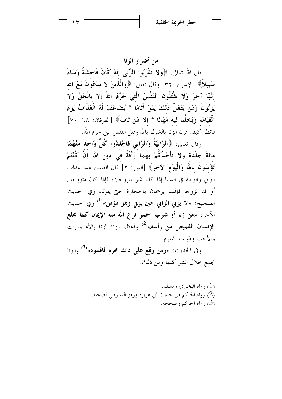من أضرار الزنا قال الله تعالى: ﴿وَلا تَقْرَبُوا الزِّنَى إِنَّهُ كَانَ فَاحِشَةً وَسَاءَ سَبِيلاً﴾ [الإسراء: ٣٢] وقال تعالى: ﴿وَالَّذِينَ لا يَدْعُونَ مَعَ الله إِلَهًا آخَرَ وَلا يَقْتُلُونَ النَّفْسَ الَّتى حَرَّمَ اللهُ إِلا بِالْحَقِّ وَلا يَزْنُونَ وَمَنْ يَفْعَلْ ذَلكَ يَلْقَ أَثَامًا \* يُضَاعَفْ لَهُ الْعَذَابُ يَوْمَ الْقِيَامَة وَيَخْلُدْ فِيه مُهَانًا \* إلا مَنْ تَابَ﴾ [الفرقان: ٦٨-٧٠] فانظر كيف قرن الزنا بالشرك بالله وقتل النفس التي حرم الله.

وقال تعالى: ﴿الزَّانِيَةُ وَالزَّانِي فَاجْلِدُوا كُلَّ وَاحِدٍ مِنْهُمَا مائَةَ جَلْدَة وَلا تَأْخُذْكُمْ بهمَا ۚ رَأْفَةٌ فَي دين الله إِنَّ كُنْتُمْ تُؤْمِنُونَ بِاللَّهِ وَالْيَوْمِ الآخرِ﴾ [النور: ٢] قال العلماء هذا عذاب الزايي والزانية في الدنيا إذا كانا غير متزوجين، فإذا كان متزوجين أو قد تزوجا فإفمما يرجمان بالحجارة حتى يموتا، وفي الحديث الصحيح: «لا يزني الزاني حين يزني وهو مؤمن»<sup>(1)</sup> وفي الحديث الآخر: «من زنا أو شرب الخمر نزع الله منه الإيمان كما يخلع الإنسان القميص من رأسه»<sup>(2)</sup> وأعظم الزنا الزنا بالأم والبنت والأخت وذوات المحارم.

وفي الحديث: «ومن وقع على ذات محرم فاقتلوه»<sup>(3)</sup> والزنا يجمع خلال الشر كلها ومن ذلك.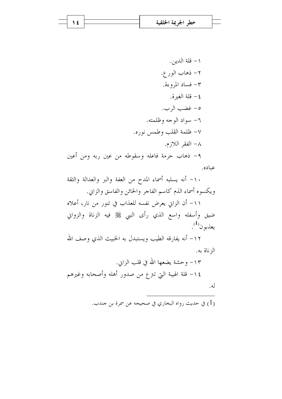| خطر الجريمة الحلقية |  |
|---------------------|--|
|                     |  |

1 €

١ – قلة الدين. ٢– ذهاب الور ع. ٣- فساد المروءة. ٤ – قلة الغيرة. ٥- غضب الرب. ٦- سواد الوحه وظلمته. ٧- ظلمة القلب وطمس نوره. ٨– الفقر اللازم. ٩- ذهاب حرمة فاعله وسقوطه من عين ربه ومن أعين

عباده.

١٠- أنه يسلبه أسماء المدح من العفة والبر والعدالة والثقة ويكسوه أسماء الذم كاسم الفاجر والخائن والفاسق والزابي.

١١- أن الزاني يعرض نفسه للعذاب في تنور من نار، أعلاه ضيق وأسفله واسع الذي رأى النبي ﷺ فيه الزناة والزواني يعذبو ن $^{(1)}$ .

١٢– أنه يفارقه الطيب ويستبدل به الخبيث الذي وصف الله الز ناة به.

١٣– وحشة يضعها الله في قلب الزاين. ١٤− قلة الهيبة التي تنزع من صدور أهله وأصحابه وغيرهم له.

ي حديث رواه البخاري في صحيحه عن سمرة بن حندب.  $(1)$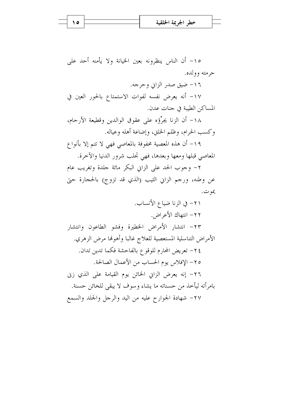١٥- أن الناس ينظرونه بعين الخيانة ولا يأمنه أحد على حرمته وولده.

١٦- ضيق صدر الزايي وحرجه.

١٧- أنه يعرض نفسه لفوات الاستمتاع بالحور العين في المساكن الطيبة في جنات عدن.

١٨– أن الزنا يجرِّؤه على عقوق الوالدين وقطيعة الأرحام، وكسب الحرام، وظلم الخلق، وإضاعة أهله وعياله.

١٩- أن هذه المعصية محفوفة بالمعاصي فهي لا تتم إلا بأنواع المعاصي قبلها ومعها وبعدها، فهي تحلب شرور الدنيا والآخرة.

٢- وجوب الحد على الزايي البكر مائة جلدة وتغريب عام عن وطنه، ورحم الزايي الثيب (الذي قد تزوج) بالحجارة حتى يمو ت.

٢١- في الزنا ضياع الأنساب. ٢٢- انتهاك الأعراض. ٢٣– انتشار الأمراض الخطيرة وفشو الطاعون وانتشار الأمراض التناسلية المستعصية للعلاج غالبا وأهولها مرض الزهري. ٢٤– تعريض المحارم للوقوع بالفاحشة فكما تدين تدان. ٢٥- الإفلاس يوم الحساب من الأعمال الصالحة. ٢٦- إنه يعرض الزاين الخائن يوم القيامة على الذي زيي بامرأته ليأخذ من حسناته ما يشاء وسوف لا يبقى للخائن حسنة. ٢٧- شهادة الجوارح عليه من اليد والرجل والجلد والسمع

 $\theta$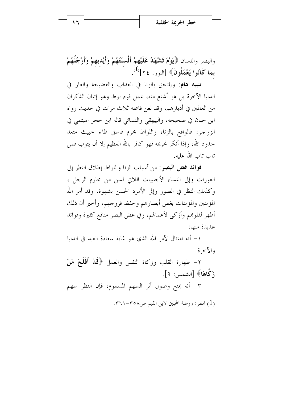والبصر واللسان ﴿يَوْمَ تَشْهَدُ عَلَيْهِمْ أَلْسنَتُهُمْ وَأَيْدِيهِمْ وَأَرْجُلُهُمْ  $\mathcal{L}^{(1)}$ بِمَا كَانُوا يَعْمَلُونَ﴾ [النور: ٢٤] $\mathcal{L}^{(1)}$ .

تنبيه هام: ويلتحق بالزنا في العذاب والفضيحة والعار في الدنيا الآخرة بل هو أشنع منه، عمل قوم لوط وهو إتيان الذكران من العالمين في أدبارهم، وقد لعن فاعله ثلاث مرات في حديث رواه ابن حبان في صحيحه، والبيهقي والنسائي قاله ابن حجر الهيثمي في الزواجر: فالواقع بالزنا، واللواط مجرم فاسق ظالم حبيث متعد حدود الله، وإذا أنكر تحريمه فهو كافر بالله العظيم إلا أن يتوب فمن تاب تاب الله عليه.

فوائد غض البصر: من أسباب الزنا واللواط إطلاق النظر إلى العورات وإلى النساء الأجنبيات اللاتي لسن من محارم الرجل ، وكذلك النظر في الصور وإلى الأمرد الحسن بشهوة، وقد أمر الله المؤمنين والمؤمنات بغض أبصارهم وحفظ فروجهم، وأخبر أن ذلك أطهر لقلوهم وأزكى لأعمالهم، وفي غض البصر منافع كثيرة وفوائد عديدة منها:

١– أنه امتثال لأمر الله الذي هو غاية سعادة العبد في الدنيا والآخرة

٢– طهارة القلب وزكاة النفس والعمل ﴿قَلْ أَفْلَحَ مَنْ زَكَّاهَا﴾ [الشمس: ٩]. ٣- أنه يمنع وصول أثر السهم المسموم، فإن النظر سهم

(1) انظر : , وضة المحبين لابن القيم ص٨٥٨-٣٦١.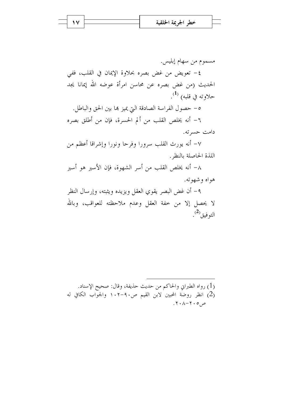مسموم من سهام إبليس. ٤- تعويض من غض بصره بحلاوة الإيمان في القلب، ففي الحديث (من غض بصره عن محاسن امرأة عوضه الله إيمانا يجد حلاوته في قلبه<sub>)</sub> <sup>(1</sup>). ٥- حصول الفراسة الصادقة التي يميز ها بين الحق والباطل. ٦- أنه يخلص القلب من ألم الحسرة، فإن من أطلق بصره دامت حسرته. ٧– أنه يورث القلب سرورا وفرحا ونورا وإشراقا أعظم من اللذة الحاصلة بالنظر. ٨– أنه يخلص القلب من أسر الشهوة، فإن الأسير هو أسير

هواه وشهوته.

٩- أن غض البصر يقوي العقل ويزيده ويثبته، وإرسال النظر لا يحصل إلا من حفة العقل وعدم ملاحظته للعواقب، وبالله التوفيق<sup>(2</sup>).

(1) رواه الطبراني والحاكم من حديث حذيفة، وقال: صحيح الإسناد. (2) انظر روضة المحبين لابن القيم ص٩٠-١٠٢ والجوَّاب الكافي له  $.7.1 - 7.0$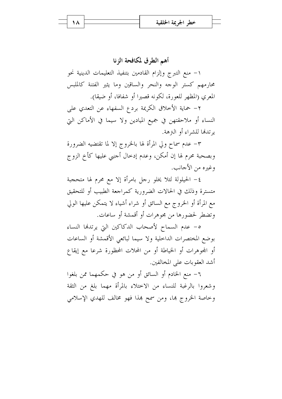أهم الطرق لمكافحة الزنا

١– منع التبرج وإلزام القادمين بتنفيذ التعليمات الدينية نحو محارمهم كستر الوجه والنحر والساقين وما يثير الفتنة كالملبس المعري (المظهر للعورة، لكونه قصيرا أو شفافا، أو ضيقا).

٢- حماية الأخلاق الكريمة بردع السفهاء عن التعدي على النساء أو ملاحقتهن في جميع الميادين ولا سيما في الأماكن التي يو تدهّل للشراء أو التزهة.

٣– عدم سماح ولي المرأة لها بالخروج إلا لما تقتضيه الضرورة وبصحبة محرم لها إن أمكن، وعدم إدخال أحنبي عليها كأخ الزوج وغيره من الأجانب.

٤– الحيلولة لئلا يخلو رجل بامرأة إلا مع محرم لها متحجبة متسترة وذلك في الحالات الضرورية كمراجعة الطبيب أو للتحقيق مع المرأة أو الخروج مع السائق أو شراء أشياء لا يتمكن عليها الولي وتضطر لحضورها من مجوهرات أو أقمشة أو ساعات.

٥- عدم السماح لأصحاب الدكاكين التي يرتدها النساء بوضع المختصرات الداخلية ولا سيما لبائعي الأقمشة أو الساعات أو المجوهرات أو الخياطة أو من المحلات المحظورة شرعا مع إيقاع أشد العقوبات على المخالفين.

٦– منع الخادم أو السائق أو من هو في حكمهما ممن بلغوا وشعروا بالرغبة للنساء من الاختلاء بالمرأة مهما بلغ من الثقة وخاصة الخروج ها، ومن سمح هذا فهو مخالف للهدي الإسلامي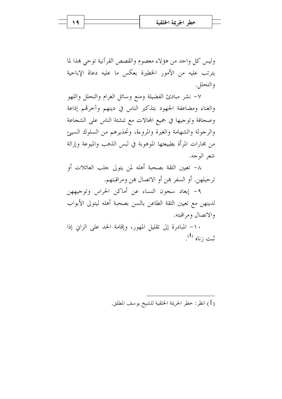وليس كل واحد من هؤلاء معصوم والقصص القرآنية توحي بهذا لما يترتب عليه من الأمور الخطيرة بعكس ما عليه دعاة الإباحية و التحلل .

٧– نشر مبادئ الفضيلة ومنع وسائل الغرام والتحلل واللهو والغناء ومضاعفة الجهود بتذكير الناس في دينهم وأحرقم إذاعة وصحافة وتوجيها في جميع المحالات مع تنشئة الناس على الشجاعة والرحولة والشهامة والغيرة والمروءة، وتحذيرهم من السلوك السيئ من محارات المرأة بطبيعتها الموهوبة في لبس الذهب والميوعة وإزالة شعر الوجه.

٨– تعيين الثقة بصحبة أهله لمن يتولى حلب العائلات أو ترجيلهن. أو السفر بمن أو الاتصال بمن ومراقبتهم.

٩- إبعاد سجون النساء عن أماكن الحراس وتوجيههن لدينهن مع تعيين الثقة الطاعن بالسن بصحبة أهله ليتولى الأبواب والاتصال ومراقبته.

١٠- المبادرة إلى تقليل المهور، وإقامة الحد على الزاين إذا ثبت ; ناه <sup>(1</sup>).

(1) انظر: خطر الجريمة الحلقية للشيخ يوسف المطلق.

 $\sqrt{9}$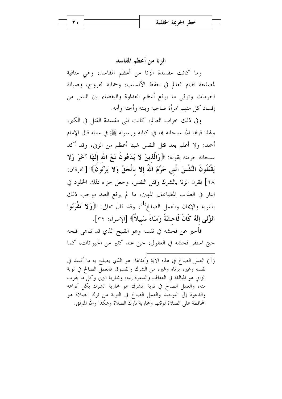الزنا من أعظم المفاسد

وما كانت مفسدة الزنا من أعظم المفاسد، وهي منافية لمصلحة نظام العالم في حفظ الأنساب، وحماية الفروج، وصيانة الحرمات وتوقى ما يوقع أعظم العداوة والبغضاء بين الناس من إفساد كل منهم امرأة صاحبه وبنته وأحته وأمه.

وفي ذلك خراب العالم، كانت تلى مفسدة القتل في الكبر، ولهذا قرهٔا الله سبحانه بما في كتابه ورسوله ﷺ في سنته قال الإمام أحمد: ولا أعلم بعد قتل النفس شيئا أعظم من الزين، وقد أكد سبحانه حرمته بقوله: ﴿وَالَّذِينَ لا يَدْعُونَ مَعَ الله إِلَهًا آخَرَ وَلا يَقْتُلُونَ النَّفْسَ الَّتى حَرَّمَ اللَّهُ إِلا بِالْحَقِّ وَلا يَزْنُونَ﴾ [الفرقان: ٦٨] فقرن الزنا بالشرك وقتل النفس، وحعل جزاء ذلك الخلود في النار في العذاب المضاعف المهين، ما لم يرفع العبد موجب ذلك بالتوبة والإيمان والعمل الصالح<sup>(1)</sup>، وقد قال تعالى: ﴿وَلا تَقْرَبُوا الزِّنَبِي إِنَّهُ كَانَ فَاحشَةً وَسَاءَ سَبِيلاً﴾ [الإسراء: ٣٢].

فأخبر عن فحشه في نفسه وهو القبيح الذي قد تناهي قبحه حتى استقر فحشه في العقول، حتى عند كثير من الحيوانات، كما

(1) العمل الصالح في هذه الآية وأمثالها: هو الذي يصلح به ما أفسد في نفسه وغيره بزناه وغيره من الشرك والفسوق فالعمل الصالح في توبة الزايي هو المبالغة في العفاف والدعوة إليه، ومحاربة الزين وكل ما يقرب منه، والعمل الصالح في توبة المشرك هو محاربة الشرك بكل أنواعه والدعوة إلى التوحيد والعمل الصالح في التوبة من ترك الصلاة هو المحافظة على الصلاة لوقتها ومحاربة تارك الصلاة وهكذا والله الموفق.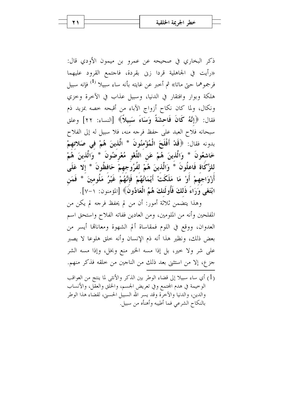ذكر البخاري في صحيحه عن عمرو بن ميمون الأودي قال: «رأيت في الجاهلية قردا زيي بقردة، فاجتمع القرود عليهما فرجموهما حتى ماتا» ثم أحبر عن غايته بأنه ساء سبيلا <sup>(1)</sup> فإنه سبيل هلكة وبوار وافتقار في الدنيا، وسبيل عذاب في الآخرة وحزى ونكال، ولما كان نكاح أزواج الآباء من أقبحه خصه بمزيد ذم فقال: ﴿إِنَّهُ كَانَ فَاحِشَةً وَسَاءَ سَبِيلاً﴾ [النساء: ٢٢] وعلق سبحانه فلاح العبد على حفظ فرحه منه، فلا سبيل له إلى الفلاح بدونه فقال: ﴿قَلْ أَفْلَحَ الْمُؤْمِنُونَ \* الَّذِينَ هُمْ في صَلاتهمْ خَاشعُونَ \* وَالَّذينَ هُمْ عَنِ اللَّغْوِ مُعْرِضُونَ \* وَالَّذينَ هُمْ للزَّكَاة فَاعِلُونَ \* وَالَّذِينَ هُمْ لِفُرُوجِهِمْ حَافِظُونَ \* إِلَّا عَلَى أَرْوَاجِهِمْ أَوْ مَا مَلَكَتْ أَيْمَانُهُمْ فَإِنَّهُمْ غَيْرُ مَلُومِينَ \* فَمَنِ ابْتَغَى وَرَاءَ ذَلِكَ فَأُولَئِكَ هُمُ الْعَادُونَ﴾ [المؤمنون: ١-٧].

وهذا يتضمن ثلاثة أمور: أن من لم يحفظ فرجه لم يكن من المفلحين وأنه من الملومين، ومن العادين ففاته الفلاح واستحق اسم العدوان، ووقع في اللوم فمقاساة ألم الشهوة ومعاناها أيسر من بعض ذلك، ونظير هذا أنه ذم الإنسان وأنه خلق هلوعا لا يصبر على شر ولا حير، بل إذا مسه الخير منع وبخل، وإذا مسه الشر جزع، إلا من استثنى بعد ذلك من الناجين من خلقه فذكر منهم.

(1) أي ساء سبيلا إلى قضاء الوطر بين الذكر والأنثى لما ينتج من العواقب الوخيمة في هدم المحتمع وفي تعريض الجسم، والخلق والعقَّل، والأنساب والدين، والدنيا والآخرَّة وقد يسر الله السبيل الحسني، لقضاء هذا الوطر بالنكاح الشرعي فما أطيبه وأهنأه من سبيل.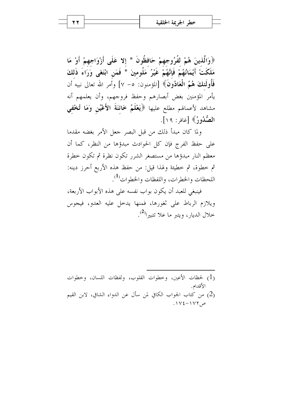﴿وَالَّذِينَ هُمْ لَفُرُوجِهِمْ حَافِظُونَ \* إِلا عَلَى أَزْوَاجِهِمْ أَوْ مَا مَلَكَتْ أَيْمَانُهُمْ فَإِنَّهُمْ غَيْرُ مَلُومِينَ \* فَمَنِ ابْتَغَى وَرَاءَ ذَلِكَ فَأُولَٰئِكَ هُمُ الْعَادُونَ﴾ [المؤمنون: ٥– ٧] وأمر الله تعالى نبيه أن يأمر المؤمنين بغض أبصارهم وحفظ فروجهم، وأن يعلمهم أنه مشاهد لأعمالهم مطلع عليها ﴿يَعْلَمُ خَائِنَةَ الأَعْيُنِ وَمَا تُخْفيي الصُّدُورُ﴾ [غافر : ١٩].

ولما كان مبدأ ذلك من قبل البصر حعل الأمر بغضه مقدما على حفظ الفرج فإن كل الحوادث مبدؤها من النظر، كما أن معظم النار مبدؤها من مستصغر الشرر تكون نظرة ثم تكون حطرة ثم خطوة، ثم خطيئة ولهذا قيل: من حفظ هذه الأربع أحرز دينه: اللحظات والخطرات، واللفظات والخطوات<sup>(1</sup>).

فينبغي للعبد أن يكون بواب نفسه على هذه الأبواب الأربعة، ويلازم الرباط على ثغورها، فمنها يدخل عليه العدو، فيجوس خلال الديار ، ويتبر ما علا تتبيرا<sup>(2)</sup>.

(1) لحظات الأعين، وحطوات القلوب، ولفظات اللسان، وحطوات الأقدام. (2) من كتاب الجواب الكافي لمن سأل عن الدواء الشافي، لابن القيم  $.1Y_{\epsilon}-1Y_{\epsilon}$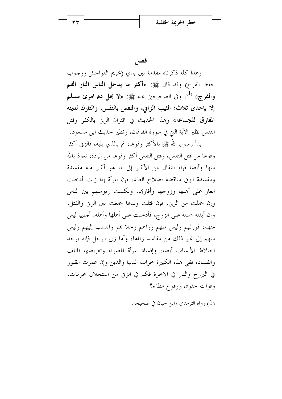27

فصا

وهذا كله ذكرناه مقدمة بين يدى (تحريم الفواحش ووجوب حفظ الفرج) وقد قال ﷺ: «أكثر ما يدخل الناس النار الفم والفرج» <sup>(1</sup>)، وفي الصحيحين عنه ﷺ: «لا **يحل دم امرئ مسلم** إلا بإحدى ثلاث: الثيب الزاني، والنفس بالنفس، والتارك لدينه ا**لمفارق للجماعة**» وهذا الحديث في اقتران الزين بالكفر وقتل النفس نظير الآية التي في سورة الفرقان، ونظير حديث ابن مسعود.

بدأ رسول الله ﷺ بالأكثر وقوعا، ثم بالذي يليه، فالزنى أكثر وقوعا من قتل النفس، وقتل النفس أكثر وقوعا من الردة، نعوذ بالله منها وأيضا فإنه انتقال من الأكبر إلى ما هو أكبر منه مفسدة ومفسدة الزين مناقضة لصلاح العالم، فإن المرأة إذا زنت أدخلت العار على أهلها وزوجها وأقارها، ونكست رءوسهم بين الناس وإن حملت من الزين، فإن قتلت ولدها جمعت بين الزين والقتل، وإن أبقته حملته على الزوج، فأدخلت على أهلها وأهله. أجنبيا ليس منهم، فورثهم وليس منهم ورأهم وخلا هم وانتسب إليهم وليس منهم إلى غير ذلك من مفاسد زناها، وأما زين الرجل فإنه يوجد اختلاط الأنساب أيضا، وإفساد المرأة المصونة وتعريضها للتلف والفساد، ففي هذه الكبيرة خراب الدنيا والدين وإن عمرت القبور في البرزخ والنار في الآخرة فكم في الزين من استحلال محرمات، وفوات حقوق ووقوع مظالم؟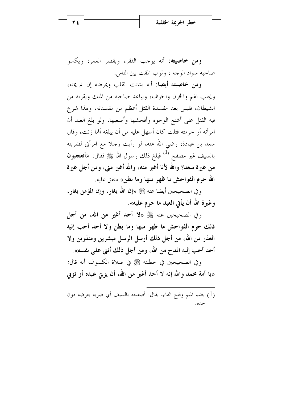**ومن خاصيته:** أنه يوجب الفقر، ويقصر العمر، ويكسو صاحبه سواد الوجه ، وثوب المقت بين الناس.

ومن خاصيته أيضا: أنه يشتت القلب ويمرضه إن لم يمته، ويجلب الهم والخزن والخوف، ويباعد صاحبه من الملك ويقربه من الشيطان، فليس بعد مفسدة القتل أعظم من مفسدته، ولهذا شرع فيه القتل على أشنع الوجوه وأفحشها وأصعبها، ولو بلغ العبد أن امرأته أو حرمته قتلت كان أسهل عليه من أن يبلغه ألها زنت، وقال سعد بن عبادة، رضي الله عنه، لو رأيت رحلاً مع امرأتي لضربته بالسيف غير مصفح <sup>(1)</sup> فبلغ ذلك رسول الله ﷺ فقال: «أ**تعجبون** من غيرة سعد؟ والله لأنا أغير منه، والله أغير مني، ومن أجل غيرة الله حرم الفواحش ما ظهر منها وما بطن» متفق عليه.

وفي الصحيحين أيضا عنه ﷺ «إن الله يغار ، وإن المؤمن يغار ، وغيرة الله أن يأتي العبد ما حرم عليه».

و في الصحيحين عنه ﷺ «لا **أحد أغير من الله، من أجل** ذلك حرم الفواحش ما ظهر منها وما بطن ولا أحد أحب إليه العذر من الله، من أجل ذلك أرسل الرسل مبشرين ومنذرين ولا أحد أحب إليه المدح من الله، ومن أجل ذلك أثني على نفسه».

وفي الصحيحين في خطبته ﷺ في صلاة الكسوف أنه قال: «يا أمة محمد والله إنه لا أحد أغير من الله، أن يزنى عبده أو تزنى

(1) بضم الميم وفتح الفاء، يقال: أصفحه بالسيف أي ضربه بعرضه دون حده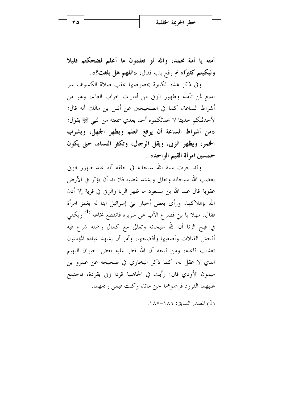أمته يا أمة محمد، والله لو تعلمون ما أعلم لضحكتم قليلا ولبكيتم كثيرًا» ثم رفع يديه فقال: «اللهم هل بلغت؟».

وفي ذكر هذه الكبيرة بخصوصها عقب صلاة الكسوف سر بديع لمن تأمله وظهور الزين من أمارات خراب العالم، وهو من أشراط الساعة، كما في الصحيحين عن أنس بن مالك أنه قال: لأحدثنكم حديثا لا يحدثكموه أحد بعدي سمعته من النبي ﷺ يقول: «من أشراط الساعة أن يرفع العلم ويظهر الجهل، ويشرب الخمر، ويظهر الزني، ويقل الرجال، وتكثر النساء، حتى يكون لخمسين امرأة القيم الواحد» .

وقد جرت سنة الله سبحانه في خلقه أنه عند ظهور الزيي يغضب الله سبحانه وتعالى ويشتد غضبه فلا بد أن يؤثر في الأرض عقوبة قال عبد الله بن مسعود ما ظهر الربا والزين في قرية إلا أذن الله بإهلاكها، ورأى بعض أحبار بنى إسرائيل ابنا له يغمز امرأة فقال. مهلا يا بني فصر ع الأب عن سريره فانقطع نخاعه <sup>(1)</sup> ويكفي في قبح الزنا أن الله سبحانه وتعالى مع كمال رحمته شرع فيه أفحش القتلات وأصعبها وأفضحها، وأمر أن يشهد عباده المؤمنون تعذيب فاعله، ومن قبحه أن الله فطر عليه بغض الحيوان البهيم الذي لا عقل له، كما ذكر البخاري في صحيحه عن عمرو بن ميمون الأودي قال: رأيت في الجاهلية قردا زين بقردة، فاجتمع عليهما القرود فرجموهما حتى ماتا، وكنت فيمن رجمهما.

$$
. \text{MAV} - \text{MAT} : \text{LML}(1)
$$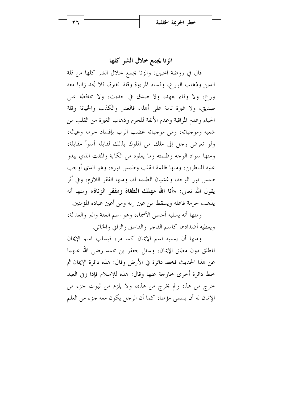الزنا يجمع خلال الشر كلها

قال في روضة المحبين: والزنا يجمع حلال الشر كلها من قلة الدين وذهاب الورع، وفساد المرءوة وقلة الغيرة، فلا تحد زانيا معه ورع، ولا وفاء بعهد، ولا صدق في حديث، ولا محافظة على صديق، ولا غيرة تامة على أهله، فالغدر والكذب والخيانة وقلة الحياء وعدم المراقبة وعدم الأنفة للحرم وذهاب الغيرة من القلب من شعبه وموجباته، ومن موجباته غضب الرب بإفساد حرمه وعياله، ولو تعرض رجل إلى ملك من الملوك بذلك لقابله أسوأ مقابلة، ومنها سواد الوجه وظلمته وما يعلوه من الكآبة والمقت الذي يبدو عليه للناظرين، ومنها ظلمة القلب وطمس نوره، وهو الذي أوجب طمس نور الوجه، وغشيان الظلمة له، ومنها الفقر اللازم، وفي أثر يقول الله تعالى: «أنا الله مهلك الطغاة ومفقر الزناة» ومنها أنه يذهب حرمة فاعله ويسقط من عين ربه ومن أعين عباده المؤمنين.

ومنها أنه يسلبه أحسن الأسماء، وهو اسم العفة والبر والعدالة، ويعطيه أضدادها كاسم الفاجر والفاسق والزاني والخائن.

ومنها أن يسلبه اسم الإيمان كما مر، فيسلب اسم الإيمان المطلق دون مطلق الإيمان، وسئل جعفر بن محمد رضي الله عنهما عن هذا الحديث فخط دائرة في الأرض وقال: هذه دائرة الإيمان ثم خط دائرة أخرى خارجة عنها وقال: هذه للإسلام فإذا زين العبد حرج من هذه ولم يخرج من هذه، ولا يلزم من ثبوت جزء من الإيمان له أن يسمى مؤمنا، كما أن الرجل يكون معه جزء من العلم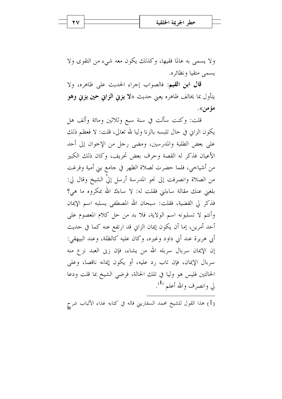ولا يسمى به عالما فقيها، وكذلك يكون معه شيء من التقوى ولا يسمى متقيا ونظائره.

قال ابن القيم: فالصواب إجراء الحديث على ظاهره، ولا يتأول بما يخالف ظاهره يعني حديث «لا **يزني الزاني حين يزني وهو** مؤمن».

قلت: وكنت سألت في سنة سبع وثلاثين ومائة وألف هل يكون الزاين في حال تلبسه بالزنا وليا لله تعالى، قلت: لا فعظم ذلك على بعض الطلبة والمدرسين، ومضى رحل من الإخوان إلى أحد الأعيان فذكر له القصة وحرف بعض تحريف، وكان ذلك الكبير من أشياحي، فلما حضرت لصلاة الظهر في حامع بني أمية وفرغت من الصلاة وانصرفت إلى نحو المدرسة أرسل إلىّ الشيخ وقال لي: بلغني عنك مقالة ساءتني فقلت له: لا ساءك الله بمكروه ما هي؟ فذكر لي القضية، فقلت: سبحان الله المصطفى يسلبه اسم الإيمان وأنتم لا تسلبونه اسم الولاية، فلا بد من حل كلام المعصوم على أحد أمرين، إما أن يكون إيمان الزاين قد ارتفع عنه كما في حديث أبي هريرة عند أبي داود وغيره، وكان عليه كالظلة، وعند البيهقي: إن الإيمان سربال سربله الله من يشاء، فإن زين العبد نزع منه سربال الإيمان، فإن تاب رد عليه، أو يكون إيمانه ناقصا، وعلى الحالتين فليس هو وليا في تلك الحالة، فرضى الشيخ بما قلت ودعا لي وانصرف والله أعلم <sup>(1</sup>).

(1) هذا القول للشيخ محمد السفاريني قاله في كتابه غذاء الألباب شرح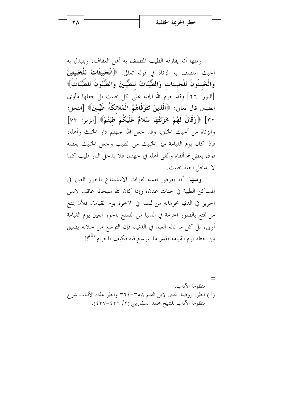ومنها أنه يفارقه الطيب المتصف به أهل العفاف، ويتبدل به الخبث المتصف به الزناة في قوله تعالى: ﴿الْمَحْبِيثَاتُ لِلْحَبِيثِينَ وَالْخَبِيثُونَ للْخَبِيثَاتِ وَالطَّيِّبَاتُ للطَّيِّبِينَ وَالطَّيِّبُونَ للطَّيِّبَاتُ﴾ [النور: ٢٦] وقد حرم الله الجنة على كل حبيث بل جعلها مأوى الطيبين قال تعالى: ﴿الَّذِينَ تَتَوَفَّاهُمُ الْمَلائكَةُ طَيِّبِينَ﴾ [النحل: ٣٢] ﴿وَقَالَ لَهُمْ خَزَنَتُهَا سَلامٌ عَلَيْكُمْ طَبْتُمْ﴾ [الزمر: ٧٣] والزناة من أحبث الحلق، وقد جعل الله جهنم دار الحبث وأهله، فإذا كان يوم القيامة ميز الخبيث من الطيب وجعل الخبيث بعضه فوق بعض ثم ألقاه وألقى أهله في جهنم، فلا يدخل النار طيب كما لا يدخل الجنة خبيث.

ومنها: أنه يعرض نفسه لفوات الاستمتاع بالحور العين في المساكن الطيبة في جنات عدن، وإذا كان الله سبحانه عاقب لابس الحرير في الدنيا بحرمانه من لبسه في الآخرة يوم القيامة، فلأن يمنع من تمتع بالصور المحرمة في الدنيا من التمتع بالحور العين يوم القيامة أولى، بل كل ما ناله العبد في الدنيا، فإن التوسع من حلاله يضيق من حظه يوم القيامة بقدر ما يتوسع فيه فكيف بالحرام <sup>(1</sup>؟!

 $=$ منظه مة الآداب. (1) انظر: روضة المحبين لابن القيم ٣٦١-٣٦١ وانظر غذاء الألباب شرح منظومة الآداب للشيخ محمد السفاريني (٢/ ٤٣٦-٤٣٧).

**Y A**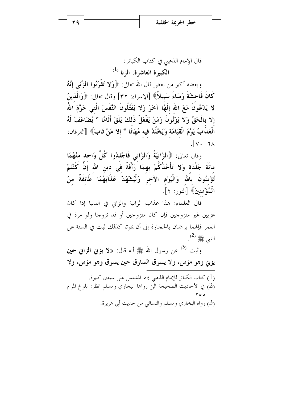29

قال الإمام الذهبي في كتاب الكبائر :  $^{(1)}$  الكبيرة العاشرة: الزنا

وبعضه أكبر من بعض قال الله تعالى: ﴿وَلا تَقْرَبُوا الزِّنَبِي إِنَّهُ كَانَ فَاحشَةً وَسَاءَ سَبِيلاً﴾ [الإسراء: ٣٢] وقال تعالى: ﴿وَالَّذِينَ لا يَدْعُونَ مَعَ الله إِلَهَا آخَرَ وَلا يَقْتُلُونَ النَّفْسَ الَّتِي حَرَّمَ اللهُ إلا بالْحَقِّ وَلا يَزْنُونَ وَمَنْ يَفْعَلْ ذَلكَ يَلْقَ أَثَامًا \* يُضَاعَفْ لَهُ الْعَذَابُ يَوْمَ الْقِيَامَة وَيَخْلُدْ فيه مُهَانًا \* إلا مَنْ تَابَ﴾ [الفرقان:  $\sqrt{v}$ .

وقال تعالى: ﴿الزَّانِيَةُ وَالزَّانِي فَاجْلِدُوا كُلَّ وَاحِد مِنْهُمَا مائَةَ جَلْدَة وَلا تَأْخُذْكُمْ بهمَا ۚ رَأْفَةٌ فَى دينِ الله إِنَّ كُنْتُمْ تُؤْمِنُونَ بِالله وَالْيَوْمِ الآخرِ وَلْيَشْهَدْ عَذَابَهُمَا طَائفَةٌ منَ الْمُؤْمنينَ﴾ [النور: ٢].

قال العلماء: هذا عذاب الزانية والزاني في الدنيا إذا كان عزبين غير متزوجين فإن كانا متزوجين أو قد تزوجا ولو مرة في العمر فإلهما يرجمان بالحجارة إلى أن يموتا كذلك ثبت في السنة عن النبي ﷺ <sup>(2</sup>).

وثبت <sup>(3)</sup> عن رسول الله ﷺ أنه قال: «لا **يزنى الزانى حين** يزني وهو مؤمن، ولا يسرق السارق حين يسرق وهو مؤمن، ولا

(1) كتاب الكبائر للإمام الذهبي ٥٤ المشتمل على سبعين كبيرة. (2) في الأحاديث الصحيحة الَّتي رواها البخاري ومسلم انظر: بلوغ المرام (3) رواه البخاري ومسلم والنسائي من حديث أبي هريرة.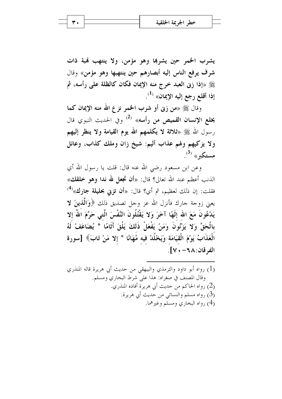يشرب الخمر حين يشربها وهو مؤمن، ولا ينتهب فمبة ذات شرف يرفع الناس إليه أبصارهم حين ينتهبها وهو مؤمن» وقال ﷺ «إذا زنى العبد خرج منه الإيمان فكان كالظلة على رأسه، ثم إذا أقلع رجع إليه الإيمان» <sup>(1)</sup>.

وقال ﷺ «من زنى أو شرب الخمر نزع الله منه الإيمان كما يخلع الإنسان القميص من رأسه» <sup>(2)</sup> وفي الحديث النبوي قال رسول الله ﷺ «ثلاثة لا يكلمهم الله يوم القيامة ولا ينظر إليهم ولا يزكيهم ولهم عذاب أليم: شيخ زان وملك كذاب، وعائل  $\cdot^{^{(3)}}$  هستكبر»

وعن ابن مسعود رضي الله عنه قال: قلت يا رسول الله أي الذنب أعظم عند الله تعالى؟ قال: «أن تجعل لله ندا وهو خلقك» فقلت: إن ذلك لعظيم، ثم أي؟ قال: «أ**ن تزني بحليلة جارك**»<sup>(4)</sup> يعني زوجة جارك فأنزل الله عز وجل تصديق ذلك ﴿وَالَّذِينَ لَا يَدْعُونَ مَعَ الله إِلَهًا آخَرَ وَلا يَقْتُلُونَ النَّفْسَ الَّتِي حَرَّمَ اللَّهُ إِلا بِالْحَقِّ وَلا يَزْنُونَ وَمَنْ يَفْعَلْ ذَلِكَ يَلْقَ أَثَامًا \* يُضَاعَفْ لَهُ الْعَذَابُ يَوْمَ الْقِيَامَةِ وَيَخْلُدْ فِيهِ مُهَانًا \* إلا مَنْ تَابَ﴾ [سورة الفرقان:١٨-١٧.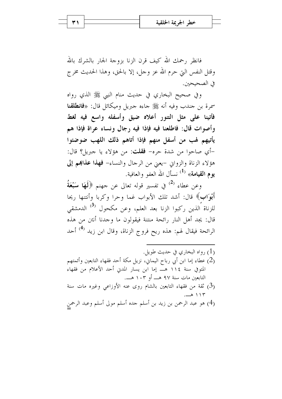فانظر رحمك الله كيف قرن الزنا بزوجة الجار بالشرك بالله وقتل النفس التي حرم الله عز وحل، إلا بالحق، وهذا الحديث مخرج في الصحيحين.

وفي صحيح البخاري في حديث منام النبي ﷺ الذي رواه سمرة بن جندب وفيه أنه ﷺ جاءه جبريل وميكائل قال: «**فانطلقنا** فأتينا على مثل التنور أعلاه ضيق وأسفله واسع فيه لغط وأصوات قال: فاطلعنا فيه فإذا فيه رجال ونساء عراة فإذا هم يأتيهم لهب من أسفل منهم فإذا أتاهم ذلك اللهب ضوضئوا -أي صاحوا من شدة حره- **فقلت**: من هؤلاء يا حبريل؟ قال: هؤلاء الزناة والزوايي -يعني من الرجال والنساء- فهذا عذابهم إلى يوم القيامة» <sup>(1)</sup> نسأل الله العفو والعافية.

وعن عطاء <sup>(2)</sup> في تفسير قوله تعالى عن جهنم ﴿**لَهَا سَبْعَةُ** أَبْوَابٍ﴾ قال: أشد تلك الأبواب غما وحرا وكربا وأنتنها ريحا للزناة الذين ركبوا الزنا بعد العلم، وعن مكحول <sup>(3)</sup> الدمشقى قال: يجد أهل النار رائحة منتنة فيقولون ما وحدنا أنتن من هذه الرائحة فيقال لهم: هذه ريح فروج الزناة، وقال ابن زيد <sup>(4)</sup> أحد

- (1) رواه البخاري في حديث طويل. (2) عطاء إما ابن أبي رباح اليماني، نزيل مكة أحد فقهاء التابعين وأئمتهم المتوفي سنة ١١٤ هـــ إما ابن يسار المدنى أحد الأعلام من فقهاء التابعين مات سنة ٩٧ هـــ أو ١٠٣ هـــ. قة من فقهاء التابعين بالشام روى عنه الأوزاعي وغيره مات سنة  $(3)$
- $-2115$ (4) هو عبد الرحمن بن زيد بن أسلم حده أسلم مولى أسلم وعبد الرحمن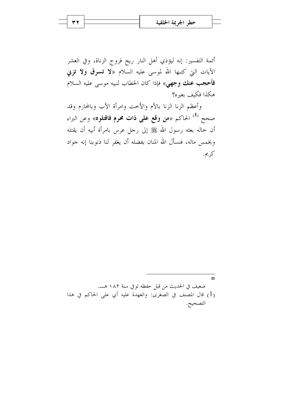أئمة التفسير: إنه ليؤذي أهل النار ريح فروج الزناة، وفي العشر الآيات التي كتبها الله لموسى عليه السلام «لا **تسرق ولا تزني** فأحجب عنك وجهي» فإذا كان الخطاب لنبيه موسى عليه السلام هكذا فكيف بغيره؟

وأعظم الزنا الزنا بالأم والأخت وامرأة الأب وبالمحارم وقد صحح <sup>(1)</sup> الحاكم «**من وقع على ذات محرم فاقتلوه**» وعن البراء أن خاله بعثه رسول الله ﷺ إلى رحل عرس بامرأة أبيه أن يقتله ويخمس ماله، فنسأل الله المنان بفضله أن يغفر لنا ذنوبنا إنه جواد كريم.

 $=$ ضعيف في الحديث من قبل حفظه توفي سنة ١٨٢ هـ. (1) قال المصنف في الصغرى: والعهدة عليه أي على الحاكم في هذا التصحيح.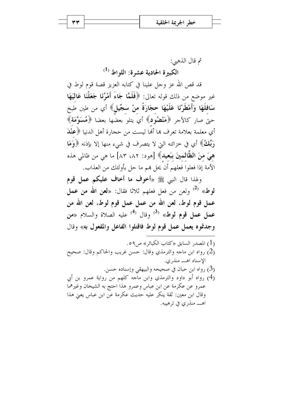ثم قال الذهبي:  $^{(1)}$  الكبيرة الحادية عشرة: اللواط

قد قص الله عز وجل علينا في كتابه العزيز قصة قوم لوط في غير موضع من ذلك قوله تعالى: ﴿فَلَمَّا جَاءَ أَمْرُنَا جَعَلْنَا عَالَيَهَا سَافِلَهَا وَأَمْطَرْنَا عَلَيْهَا حجَارَةً منْ سجِّيلٍ﴾ أي من طين طبخ حتى صار كالآحر ﴿مَنْضُودٍ﴾ أي يتلو بعضُها بعضا ﴿مُسَوَّمَةٍ﴾ أي معلمة بعلامة تعرف ها ألها ليست من حجارة أهل الدنيا ﴿عِنْدَ رَبِّكُ» أي في خزائنه التي لا يتصرف في شيء منها إلا بإذنه ﴿وَهَا هيَ منَ الظَّالمينَ ببَعيد﴾ [هود: ٨٢، ٨٣] ما هي من ظالمي هذه الأمة إذا فعلوا فعلهم أن يحل هم ما حل بأولئك من العذاب.

ولهذا قال النبي ﷺ «أخوف ما أخاف عليكم عمل قوم لوط» <sup>(2)</sup> ولعن من فعل فعلهم ثلاثًا فقال: «**لعن الله من عمل** عمل قوم لوط، لعن الله من عمل عمل قوم لوط، لعن الله من عمل عمل قوم لوط» <sup>(3)</sup> وقال <sup>(4)</sup> عليه الصلاة والسلام «من وجدتموه يعمل عمل قوم لوط فاقتلوا الفاعل والمفعول به» وقال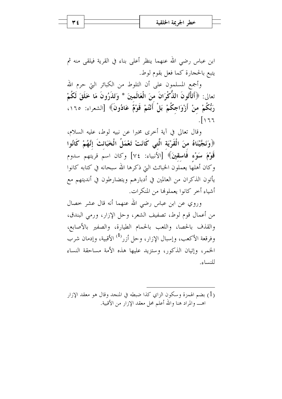۳٤

ابن عباس رضي الله عنهما ينظر أعلى بناء في القرية فيلقى منه ثم يتبع بالحجارة كما فعل بقوم لوط.

وأجمع المسلمون على أن التلوط من الكبائر التي حرم الله تعالى: ﴿أَتَأْتُونَ الذُّكْرَانَ منَ الْعَالَمِينَ \* وَتَذَرُونَ مَا خَلَقَ لَكُمْ رَبُّكُمْ منْ أَزْوَاجِكُمْ بَلْ أَنْتُمْ قَوْمٌ عَادُونَ﴾ [الشعراء: ١٦٥،  $\sqrt{17}$ 

وقال تعالى في آية أحرى مخبرا عن نبيه لوط، عليه السلام، ﴿وَنَجَّيْنَاهُ منَ الْقَرْيَةِ الَّتِي كَانَتْ تَعْمَلُ الْخَبَانَتَ إِنَّهُمْ كَانُوا قَوْمَ سَوْء فَاسقينَ﴾ [الأنبياء: ٧٤] وكان اسم قريتهم سدوم وكان أهلها يعملون الخبائث التي ذكرها الله سبحانه في كتابه كانوا يأتون الذكران من العالمين في أدبارهم ويتضارطون في أنديتهم مع أشياء أخر كانوا يعملوها من المنكرات.

وروي عن ابن عباس رضي الله عنهما أنه قال عشر حصال من أعمال قوم لوط، تصفيف الشعر، وحل الإزار، ورمي البندق، والقذف بالحصا، واللعب بالحمام الطيارة، والصفير بالأصابع، وفرقعة الأكعب، وإسبال الإزار، وحل أزر<sup>(1)</sup> الأقبية، وإدمان شرب الخمر، وإتيان الذكور، وستزيد عليها هذه الأمة مساحقة النساء للنساء.

(1) بضم الهمزة وسكون الزاي كذا ضبطه في المنجد وقال هو معقد الإزار اهـــــ والمراد هنا والله أعلم محل معقد الإزار من الأقبية.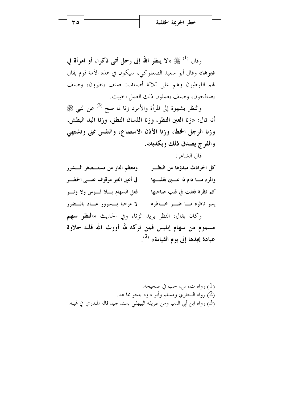وقال <sup>(1)</sup> ﷺ «لا ينظر الله إلى رجل أتبي ذكرا، أو امرأة في دبرها» وقال أبو سعيد الصعلوكي، سيكون في هذه الأمة قوم يقال لهم اللوطيون وهم على ثلاثة أصناف: صنف ينظرون، وصنف يصافحون، وصنف يعملون ذلك العمل الخبيث.

والنظر بشهوة إلى المرأة والأمرد زنا لما صح <sup>(2)</sup> عن النبي ﷺ أنه قال: «زنا العين النظر، وزنا اللسان النطق، وزنا اليد البطش، وزنا الرجل الخطا، وزنا الأذن الاستماع، والنفس تمنى وتشتهي والفرج يصدق ذلك ويكذبه».

قال الشاعر :

ومعظم النار من مستـــصغر الــــشرر كل الحوادث مبدؤها من النظــــو في أعين الغير موقوف علي الخطير والموء مسا دام ذا عسين يقلبسها فعل السهام بسلا قسوس ولا وتسر كم نظرة فعلت في قلب صاحبها لا مرحبا بسسرور عساد بالسضرر يسر ناظره مسا ضسر خساطره وكان يقال: النظر بريد الزنا، وفي الحديث «**النظر سهم** مسموم من سهام إبليس فمن تركه لله أورث الله قلبه حلاوة عبادة يجدها إلى يوم القيامة» <sup>(3)</sup>.

(1) رواه ت، س، حب في صحيحه. (2) رواه البخاري ومسلم وأبو داود بنحو مما هنا. (3) رواه ابن أبي الدنيا ومن طريقه البيهقي بسند جيد قاله المنذري في قميبه.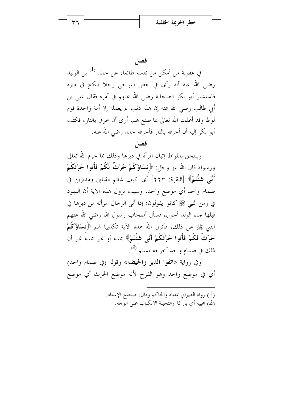فصا

في عقوبة من أمكن من نفسه طائعا، عن حالد <sup>(1)</sup> بن الوليد رضي الله عنه أنه رأى في بعض النواحي رجلا ينكح في دبره فاستشار أبو بكر الصحابة رضي الله عنهم في أمره فقال على بن أبي طالب رضي الله عنه إن هذا ذنب لم يعمله إلا أمة واحدة قوم لوط وقد أعلمنا الله تعالى بما صنع هم، أرى أن يحرق بالنار، فكتب أبو بكر إليه أن أحرقه بالنار فأحرقه خالد رضى الله عنه.

فصا

ويلتحق باللواط إتيان المرأة في دبرها وذلك مما حرم الله تعالى ورسوله قال الله عز وجل: ﴿نِسَاؤُكُمْ حَرْثٌ لَكُمْ فَأْتُوا حَرْثَكُمْ أَنَّبِي شُئْتُمْ﴾ [البقرة: ٢٢٣] أي كيف شئتم مقبلين ومدبرين في صمام واحد أي موضع واحد، وسبب نزول هذه الآية أن اليهود في زمن النبي ﷺ كانوا يقولون: إذا أتى الرحال امرأته من دبرها في قبلها جاء الولد أحول، فسأل أصحاب رسول الله رضى الله عنهم النبي ﷺ عن ذلك، فأنزل الله هذه الآية تكذيبا لهم ﴿فِسَاؤُكُمْ حَرْثٌ لَكُمْ فَأْتُوا حَرْثَكُمْ أَنَّى شُئْتُمْ﴾ مجيبة أو غير مجيبة غير أن ذلك في صمام واحد أخرجه مسلم<sup>َ (2</sup>).

وفي رواية «اتقوا الدبر والحيضة» وقوله (في صمام واحد) أي في موضع واحد وهو الفرج لأنه موضع الحرث أي موضع

> (1) رواه الطبراني بمعناه والحاكم وقال: صحيح الإسناد. عبية أي باركة والتجيبة الانكباب على الوجه) عنوا التجهور ب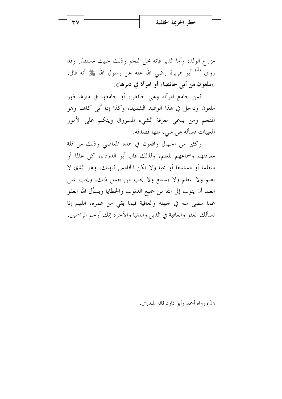مزرع الولد، وأما الدبر فإنه محل النجو وذلك حبيث مستقذر وقد روى <sup>(1)</sup> أبو هريرة رضى الله عنه عن رسول الله ﷺ أنه قال: «ملعون من أتى حائضا، أو امرأة في دبرها».

فمن جامع امرأته وهي حائض، أو جامعها في دبرها فهو ملعون وداخل في هذا الوعيد الشديد، وكذا إذا أتى كاهنا وهو المنجم ومن يدعي معرفة الشيء المسروق ويتكلم على الأمور المغيبات فسأله عن شيء منها فصدقه.

وكثير من الجهال واقعون في هذه المعاصبي وذلك من قلة معرفتهم وسماعهم للعلم، ولذلك قال أبو الدرداء، كن عالما أو متعلما أو مستمعا أو محبا ولا تكن الخامس فتهلك، وهو الذي لا يعلم ولا يتعلَّم ولا يسمع ولا يحب من يعمل ذلك، ويجب على العبد أن يتوب إلى الله من جميع الذنوب والخطايا ويسأل الله العفو عما مضى منه في جهله والعافية فيما بقى من عمره، اللهم إنا نسألك العفو والعافية في الدين والدنيا والآخرة إنك أرحم الراحمين.

واه أحمد وأبو داود قاله المنذ<sub>ا</sub> ي. (1)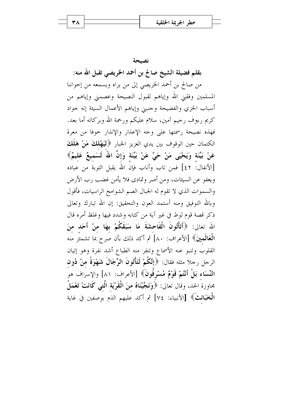نصيحة

بقلم فضيلة الشيخ صالح بن أحمد الخريصى تقبل الله منه: من صالح بن أحمد الخريصي إلى من يراه ويسمعه من إخواننا المسلمين وفقني الله وإياهم لقبول النصيحة وعصمني وإياهم من أسباب الخزي والفضيحة وحنبني وإياهم الأعمال السيئة إنه جواد كريم رءوف رحيم آمين، سلام عليكم ورحمة الله وبركاته أما بعد. فهذه نصيحة رسمتها على وجه الإعذار والإنذار حوفا من معرة الكتمان حين الوقوف بين يدي العزيز الجبار ﴿لْيَهْلُكَ مَنْ هَلَكَ عَنْ بَيِّنَة وَيَحْيَى مَنْ حَيَّ عَنْ بَيِّنَة وَإِنَّ اللَّهَ لَسَميعٌ عَليمٌ﴾ [الأنفال: ٤٢] فمن تاب وأناب فإن الله يقبل التوبة من عباده ويعفو عن السيئات، ومن أصر وتمادى فلا يأمن غضب رب الأرض والسموات الذي لا تقوم له الجبال الصم الشوامخ الراسيات، فأقول وبالله التوفيق ومنه أستمد العون والتحقيق: إن الله تبارك وتعالى ذكر قصة قوم لوط في غير آية من كتابه وشدد فيها وغلظ أمره قال الله تعالى: ﴿أَتَأْتُونَ الْفَاحِشَةَ مَا سَبَقَكُمْ بِهَا منْ أَحَد منَ الْعَالَمينَ﴾ [الأعراف: ٨٠] ثم أكد ذلك بأن صرح بما تشمئَز منه القلوب وتنبو عنه الأسماع وتنفر منه الطباع أشد نفرة وهو إتيان الرحل رحلا مثله فقال: ﴿إِنَّكُمْ لَتَأْتُونَ الرِّجَالَ شَهْوَةً منْ دُون النِّسَاء بَلْ أَنْتُمْ قَوْمٌ مُسْرِفُونَ﴾ [الأعراف: ٨١] والإسراف هو بحاوزة الحد، وقال تعالى: ﴿وَنَجَّيْنَاهُ منَ الْقَرْيَةِ الَّتِي كَانَتْ تَعْمَلُ الْغَجَائِثَ﴾ [الأنبياء: ٧٤] ثم أكد عليهم الذم بوصفين في غاية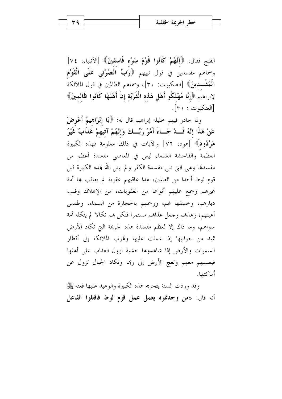القبح فقال: ﴿إِنَّهُمْ كَانُوا قَوْمَ سَوْءٍ فَاسقينَ﴾ [الأنبياء: ٧٤] وسماهم مفسدين في قول نبيهم ﴿رَبِّ انْصُرْنِي عَلَى الْقَوْمِ الْمُفْسِدِينَ﴾ [العنكبوت: ٣٠]، وسماهم الظالمين في قول الملائكة لإبراهيم ﴿إِنَّا مُهْلكُو أَهْلٍ هَذه الْقَرْيَة إِنَّ أَهْلَهَا كَانُوا ظَالمينَ﴾ [العنكبوت : ٣١].

ولما حادر فيهم حليله إبراهيم قال له: ﴿يَا إِبْرَاهِيمُ أَعْرِضْ عَنْ هَذَا إِنَّهُ قَـــدْ جَـــاءَ أَمْرُ رَبِّـــكَ وَإِنَّهُمْ آتيهمْ عَذَابٌ غَيْرُ مَوْدُودٍ﴾ [هود: ٧٦] والآيات في ذلك معلومة فهذه الكبيرة العظمة والفاحشة الشنعاء ليس في المعاصي مفسدة أعظم من مفسدها وهي التي تلي مفسدة الكفر ولم يبتل الله هذه الكبيرة قبل قوم لوط أحدا من العالمين، لهذا عاقبهم عقوبة لم يعاقب بما أمة غيرهم وجمع عليهم أنواعا من العقوبات، من الإهلاك وقلب ديارهم، وخسفها بهم، ورجمهم بالحجارة من السماء، وطمس أعينهم، وعذهم وجعل عذاهم مستمرا فنكل هم نكالا لم ينكله أمة سواهم، وما ذاك إلا لعظم مفسدة هذه الجريمة التي تكاد الأرض تميد من جوانبها إذا عملت عليها وقمرب الملائكة إلى أقطار السموات والأرض إذا شاهدوها حشية نزول العذاب على أهلها فيصيبهم معهم وتعج الأرض إلى رها وتكاد الجبال تزول عن أماكنها.

وقد وردت السنة بتحريم هذه الكبيرة والوعيد عليها فعنه ﷺ أنه قال: «من وجدتموه يعمل عمل قوم لوط فاقتلوا الفاعل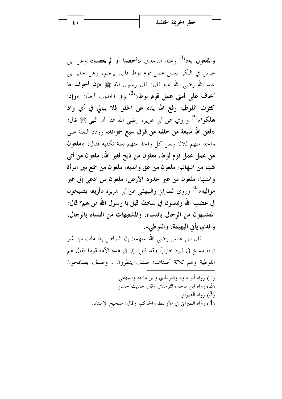والمفعول به»<sup>(1)</sup> وعند الترمذي «أحصنا أو لم يحصنا» وعن ابن عباس في البكر يعمل عمل قوم لوط قال: يرجم، وعن جابر بن عبد الله رضي الله عنه قال: قال رسول الله ﷺ «إن أخوف ما أخاف على أمتى عمل قوم لوط»<sup>(2)</sup> وفي الحديث أيضًا: «وإذا كثرت اللوطية رفع الله يده عن الخلق فلا يبالى في أي واد هلكوا»<sup>(3)</sup> وروي عن أبي هريرة رضي الله عنه أن النبي ﷺ قال: «لعن الله سبعة من خلقه من فوق سبع سمواته» وردد اللعنة على واحد منهم ثلاثا ولعن كل واحد منهم لعنة تكفيه فقال: «ملعون من عمل عمل قوم لوط، معلون من ذبح لغير الله، ملعون من أتبي شيئا من البهائم، ملعون من عق والديه، ملعون من جمع بين امرأة وابنتها، ملعون من غير حدود الأرض، ملعون من ادعى إلى غير مواليه»<sup>(4)</sup> وروى الطبراني والبيهقي عن أبي هريرة «أ**ربعة يصبحون** في غضب الله ويمسون في سخطه قيل يا رسول الله من هم؟ قال: المتشبهون من الرجال بالنساء، والمشتبهات من النساء بالرجال، والذي يأتي البهيمة، واللوطي».

قال ابن عباس رضي الله عنهما: إن اللواطي إذا مات من غير توبة مسخ في قبره ختريرًا وقد قيل: إن في هذه الأمة قوما يقال لهم اللوطية وهم ثلاثة أصناف: صنف ينظرون ، وصنف يصافحون

> (1) , واه أبو داو د و التر مذي وابن ماجه والبيهقي. (2) رواه ابن ماجه والترمذي وقال حديث حسن. (3) , واه الطبرايي. (4) , واه الطبراني في الأوسط والحاكم، وقال: صحيح الإسناد.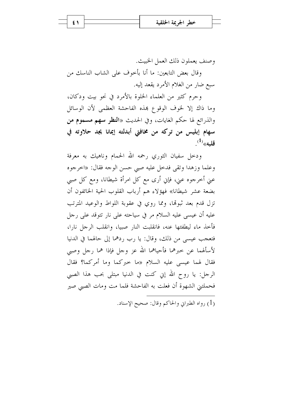$\epsilon$  \

وصنف يعملون ذلك العمل الخبيث.

وقال بعض التابعين: ما أنا بأخوف على الشاب الناسك من سبع ضارٍ من الغلام الأمرد يقعد إليه.

وحرم كثيرٍ من العلماء الخلوة بالأمرد في نحوٍ بيتٍ ودكان، وما ذاك إلا لخوف الوقوع هذه الفاحشة العظمى لأن الوسائل والذرائع لها حكم الغايات، وفي الحديث «ا**لنظر سهم مسموم من** سهام إبليس من تركه من مخافتي أبدلته إيمانا يجد حلاوته في  $^{(1)}$ قليه»

ودحل سفيان الثوري رحمه الله الحمام وناهيك به معرفة وعلما وزهدا وتقى فدخل عليه صبى حسن الوجه فقال: «اخرجوه عني أخرجوه عني، فإي أرى مع كل امرأة شيطانا، ومع كل صبي بضعة عشر شيطانا» فهؤلاء هم أرباب القلوب الحية الخائفون أن تزل قدم بعد ثبوتها، ومما روي في عقوبة اللواط والوعيد المترتب عليه أن عيسى عليه السلام مر في سياحته على نار تتوقد على رجل فأحذ ماء ليطفئها عنه، فانقلبت النار صبيا، وانقلب الرجل نارا، فتعجب عيسى من ذلك، وقال: يا رب ردهما إلى حالهما في الدنيا لأسألهما عن حبرهما فأحياهما الله عز وحل فإذا هما رجل وصبي فقال لهما عيسى عليه السلام «ما حبركما وما أمركما؟ فقال الرجل: يا روح الله إين كنت في الدنيا مبتلى بحب هذا الصبي فحملتني الشهوة أن فعلت به الفاحشة فلما مت ومات الصبي صير

(1) , واه الطبراني والحاكم وقال: صحيح الإسناد.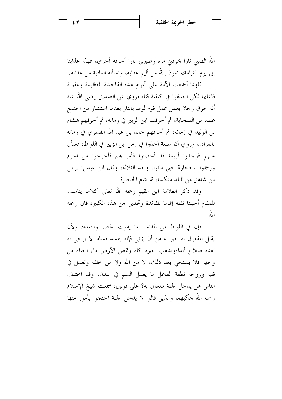الله الصبي نارا يحرقني مرة وصيرين نارا أحرقه أخرى، فهذا عذابنا إلى يوم القيامة» نعوذ بالله من أليم عقابه، ونسأله العافية من عذابه.

فلهذا أجمعت الأمة على تحريم هذه الفاحشة العظيمة وعقوبة فاعلها لكن احتلفوا في كيفية قتله فروى عن الصديق رضي الله عنه أنه حرق رحلا يعمل عمل قوم لوط بالنار بعدما استشار من احتمع عنده من الصحابة، ثم أحرقهم ابن الزبير في زمانه، ثم أحرقهم هشام بن الوليد في زمانه، ثم أحرقهم حالد بن عبد الله القسري في زمانه بالعراق، وروي أن سبعة أخذوا في زمن ابن الزبير في اللواط، فسأل عنهم فوجدوا أربعة قد أحصنوا فأمر هم فأخرجوا من الحرم ورجموا بالحجارة حتى ماتوا، وحد الثلاثة، وقال ابن عباس: يرمى من شاهق من البلد منكسا، ثم يتبع الحجارة.

وقد ذكر العلامة ابن القيم رحمه الله تعالى كلاما يناسب للمقام أحببنا نقله إتماما للفائدة وتحذيرا من هذه الكبيرة قال رحمه الله

فإن في اللواط من المفاسد ما يفوت الحصر والتعداد ولأن يقتل المفعول به خير له من أن يؤتى فإنه يفسد فسادا لا يرجى له بعده صلاح أبدا،ويذهب حيره كله وتمص الأرض ماء الحياء من وجهه فلا يستحي بعد ذلك، لا من الله ولا من خلقه وتعمل في قلبه وروحه نطفة الفاعل ما يعمل السم في البدن، وقد احتلف الناس هل يدخل الجنة مفعول به؟ على قولين: سمعت شيخ الإسلام رحمه الله يحكيهما والذين قالوا لا يدحل الجنة احتجوا بأمور منها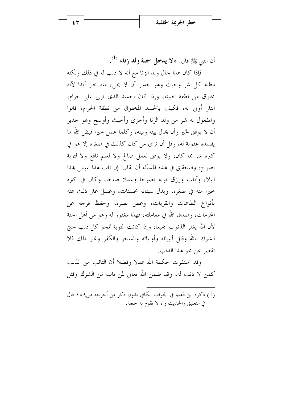أن النبي ﷺ قال: «لا يدخل الجنة ولد زنا» <sup>(1</sup>).

فإذا كان هذا حال ولد الزنا مع أنه لا ذنب له في ذلك ولكنه مظنة كل شر وحبث وهو جدير أن لا يجيء منه حير أبدا لأنه مخلوق من نطفة حبيثة، وإذا كان الجسد الذي تربي على حرام، النار أولى به، فكيف بالجسد المخلوق من نطفة الحرام، قالوا والمفعول به شر من ولد الزنا وأخزى وأخبث وأوسخ وهو جدير أن لا يوفق لخير وأن يحال بينه وبينه، وكلما عمل حيرا قيض الله ما يفسده عقوبة له، وقل أن ترى من كان كذلك في صغره إلا هو في كبره شر مما كان، ولا يوفق لعمل صالح ولا لعلم نافع ولا لتوبة نصوح، والتحقيق في هذه المسألة أن يقال: إن تاب هذا المبتلي هذا البلاء وأناب ورزق توبة نصوحا وعملا صالحا، وكان في كيره حيرا منه في صغره، وبدل سيئاته بحسنات، وغسل عار ذلك عنه بأنواع الطاعات والقربات، وغض بصره، وحفظ فرجه عن المحرمات، وصدق الله في معاملته، فهذا مغفور له وهو من أهل الجنة لأن الله يغفر الذنوب جميعا، وإذا كانت التوبة تمحو كل ذنب حيّ الشرك بالله وقتل أنبيائه وأوليائه والسحر والكفر وغير ذلك فلا تقصر عن محو هذا الذنب.

وقد استقرت حكمة الله عدلا وفضلا أن التائب من الذنب كمن لا ذنب له، وقد ضمن الله تعالى لمن تاب من الشرك وقتل

(1) ذكره ابن القيم في الجواب الكافي بدون ذكر من أخرجه ص١٨٩ قال في التعليق والحديث واه لا تقوم به حجة.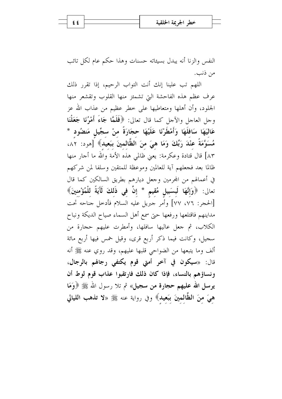النفس والزنا أنه يبدل بسيئاته حسنات وهذا حكم عام لكل تائب من ذنب.

اللهم تب علينا إنك أنت التواب الرحيم، إذا تقرر ذلك عرف عظم هذه الفاحشة التي تشمئز منها القلوب وتقشعر منها الجلود، وأن أهلها ومتعاطيها على خطر عظيم من عذاب الله عز وجل العاجل والآجل كما قال تعالى: ﴿فَلَمَّا جَاءَ أَمْرُنَا جَعَلْنَا عَاليَهَا سَافلَهَا وَأَمْطَرْنَا عَلَيْهَا حجَارَةً منْ سجِّيلٍ مَنضُودٍ \* مُسَوَّمَةً عنْدَ رَبِّكَ وَمَا هيَ منَ الظَّالمينَ ببَعيد﴾ [هود: ٨٢، ٨٣] قال قتادة وعكرمة: يعني ظالمي هذه الأمة والله ما أحار منها ظالما بعد فجعلهم آية للعالمين وموعظة للمتقين وسلفا لمن شركهم في أعمالهم من المحرمين وجعل ديارهم بطريق السالكين كما قال تعالى: ﴿وَإِنَّهَا لَبِسَبِيلٍ مُقِيمٍ \* إِنَّ فِي ذَلِكَ لَآيَةً لِلْمُؤْمِنِينَ﴾ [الحجر: ٧٦، ٧٧] وأمر جبريل عليه السلام فأدحل جناحه تحت مداينهم فاقتلعها ورفعها حتى سمع أهل السماء صياح الديكة ونباح الكلاب، ثم جعل عاليها سافلها، وأمطرت عليهم حجارة من سجيل، وكانت فيما ذكر أربع قرى، وقيل خمس فيها أربع مائة ألف وما يتبعها من الضواحي قلبها عليهم، وقد روي عنه ﷺ أنه قال: «سيكون في آخر أمتى قوم يكتفي رجالهم بالرجال، ونساؤهم بالنساء، فإذا كان ذلك فارتقبوا عذاب قوم لوط أن يرسل الله عليهم حجارة من سجيل» ثم تلا رسول الله ﷺ ﴿وَمَا هيَ منَ الظَّالمينَ ببَعيد﴾ وفي رواية عنه ﷺ «لا تذهب الليالي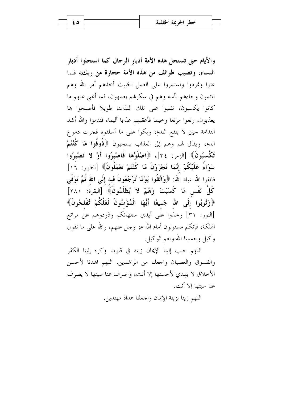والأيام حتى تستحل هذه الأمة أدبار الرجال كما استحلوا أدبار النساء، وتصيب طوائف من هذه الأمة حجارة من ربك» فلما عتوا وتمردوا واستمروا على العمل الخبيث أحذهم أمر الله وهم نائمون وجاءهم بأسه وهم في سكرقم يعمهون، فما أغني عنهم ما كانوا يكسبون، تقلبوا على تلك اللذات طويلا فأصبحوا ها يعذبون، رتعوا مرتعا وحيما فأعقبهم عذابا أليما، فندموا والله أشد الندامة حين لا ينفع الندم، وبكوا على ما أسلفوه فجرت دموع الدم، ويقال لهم وهم إلى العذاب يسحبون ﴿ذُوقُوا مَا كُنْتُمْ تَكْسِبُونَ﴾ [الزمر: ٢٤]، ﴿اصْلَوْهَا فَاصْبِرُوا أَوْ لا تَصْبِرُوا سَوَاءٌ عَلَيْكُمْ إِنَّمَا تُجْزَوْنَ مَا كُنْتُمْ تَعْمَلُونَ﴾ [الطور: ١٦] فاتقوا الله عباد الله: ﴿وَاتَّقُوا يَوْمًا تُوْجَعُونَ فِيه إِلَى الله ثُمَّ تُوَفَّى كُلُّ نَفْسٍ مَا كَسَبَتْ وَهُمْ لا يُظْلَمُونَ﴾ [البقرة: ٢٨١] ﴿وَتُوبُوا إِلَى الله جَميعًا أَيُّهَا الْمُؤْمِنُونَ لَعَلَّكُمْ تُفْلحُونَ﴾ [النور: ٣١] وحذوا على أيدي سفهائكم وذودوهم عن مراتع الهلكة، فإنكم مسئولون أمام الله عز وحل عنهم، والله على ما نقول وكيل وحسبنا الله ونعم الوكيل.

اللهم حبب إلينا الإيمان زينه في قلوبنا وكره إلينا الكفر والفسوق والعصيان واجعلنا من الراشدين، اللهم اهدنا لأحسن الأحلاق لا يهدي لأحسنها إلا أنت، واصرف عنا سيئها لا يصرف عنا سبئها الا أنت.

اللهم زينا بزينة الإيمان واجعلنا هداة مهتدين.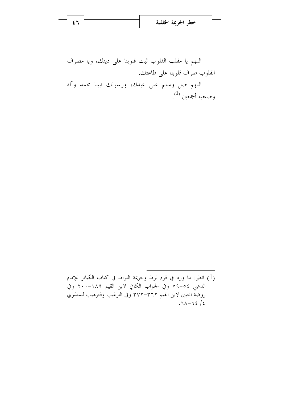|  | خطہ اجب   |
|--|-----------|
|  | $\bullet$ |
|  |           |

اللهم يا مقلب القلوب ثبت قلوبنا على دينك، ويا مصرف القلوب صرف قلوبنا على طاعتك. اللهم صل وسلم على عبدك، ورسولك نبينا محمد وآله وصحبه أجمعين <sup>(1</sup>).

(1) انظر: ما ورد في قوم لوط وحريمة اللواط في كتاب الكبائر للإمام الذهبي ٥٤–٥٩ وفي الجواب الكافي لابن القيم ١٨٩–٢٠٠ وفي روضة المحبين لابن القيم ٣٧٢–٣٧٢ وفي الترغيب والترهيب للمنذري  $.71 - 72 / 2$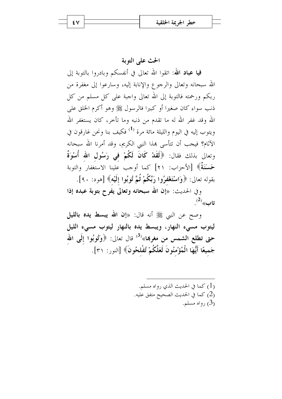## الحث على التوبة

**فيا عباد الله:** اتقوا الله تعالى في أنفسكم وبادروا بالتوبة إلى الله سبحانه وتعالى والرجوع والإنابة إليه، وسارعوا إلى مغفرة من ربكم ورحمته فالتوبة إلى الله تعالى واجبة على كل مسلم من كل ذنب سواء كان صغيرا أو كبيرا فالرسول ﷺ وهو أكرم الخلق على الله وقد غفر الله له ما تقدم من ذنبه وما تأخر، كان يستغفر الله ويتوب إليه في اليوم والليلة مائة مرة <sup>(1)</sup> فكيف بنا ونحن غارقون في الآثام؟ فيجب أن تتأسى بهذا النبي الكريم، وقد أمرنا الله سبحانه وتعالى بذلك فقال: ﴿لَقَدْ كَانَ لَكُمْ فِي رَسُولِ الله أُسْوَةٌ حَسَنَةٌ﴾ [الأحزاب: ٢١] كما أوجب علينا الاستغفار والتوبة بقوله تعالى: ﴿وَاسْتَغْفِرُوا رَبَّكُمْ ثُمَّ تُوبُوا إِلَيْهِ﴾ [هود: ٩٠].

وفي الحديث: «إن الله سبحانه وتعالى يفرح بتوبة عبده إذا  $\cdot^{(2)}$ تاب

وصح عن النبي ﷺ أنه قال: «إن الله يبسط يده بالليل ليتوب مسىء النهار، ويبسط يده بالنهار ليتوب مسىء الليل حتى تطلع الشمس من مغربها»<sup>(3)</sup> قال تعالى: ﴿وَتُوبُوا إِلَى الله جَميعًا أَيُّهَا الْمُؤْمِنُونَ لَعَلَّكُمْ تُفْلحُونَ﴾ [النور: ٣١].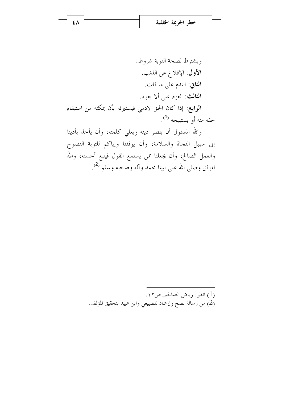ويشترط لصحة التوبة شروط: الأول: الإقلاع عن الذنب. ا**لثاني**: الندم عل<sub>ى</sub> ما فات. الثالث: العزم على ألا يعود. ا**لرابع**: إذا كان الحق لآدمى فيستبرئه بأن يمكنه من استيفاء حقه منه أو يستبيحه <sup>(1</sup>). والله المسئول أن ينصر دينه ويعلى كلمته، وأن يأخذ بأدينا إلى سبيل النجاة والسلامة، وأن يوفقنا وإياكم للتوبة النصوح والعمل الصالح، وأن يجعلنا ممن يستمع القول فيتبع أحسنه، والله الموفق وصلى الله على نبينا محمد وآله وصحبه وسلم <sup>(2)</sup>.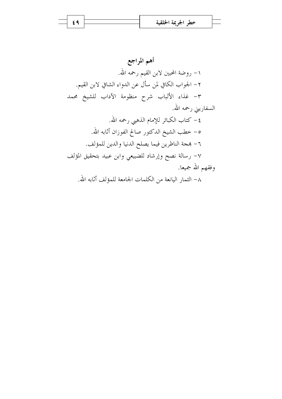$69$ 

أهم المراجع ١– روضة المحبين لابن القيم رحمه الله. ٢- الجواب الكافي لمن سأل عن الدواء الشافي لابن القيم. ٣- غذاء الألباب شرح منظومة الآداب للشيخ محمد السفاريني رحمه الله. ٤– كتاب الكبائر للإمام الذهبي رحمه الله. ٥– خطب الشيخ الدكتور صالح الفوزان أثابه الله. ٦- بمجة الناظرين فيما يصلح الدنيا والدين للمؤلف. ٧- رسالة نصح وإرشاد للضبيعي وابن عبيد بتحقيق المؤلف وفقهم الله جميعا. ٨– الثمار اليانعة من الكلمات الجامعة للمؤلف أثابه الله.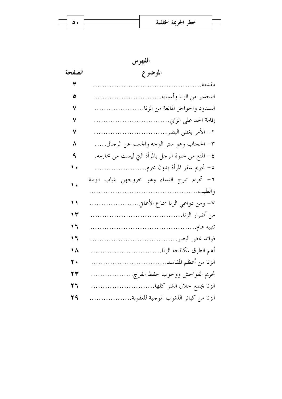$\equiv$ 

| الفهرس     |                                                     |  |  |  |
|------------|-----------------------------------------------------|--|--|--|
| الصفحة     | الموضوع                                             |  |  |  |
| ٣          | مقدمة                                               |  |  |  |
| ٥          | التحذير من الزنا وأسبابه                            |  |  |  |
| ٧          | السدود والحواجز المانعة من الزنا                    |  |  |  |
| ٧          |                                                     |  |  |  |
| ٧          |                                                     |  |  |  |
| ٨          | ٣- الحجاب وهو ستر الوحه والجسم عن الرحال            |  |  |  |
| ٩          | ٤– المنع من خلوة الرحل بالمرأة التي ليست من محارمه. |  |  |  |
| ۱.         | ٥– تحريم سفر المرأة بدون محرم                       |  |  |  |
| $\sqrt{ }$ | ٦– تحريم تبرج النساء وهو حروجهن بثياب الزينة        |  |  |  |
| $\lambda$  | ٧- ومن دواعي الزنا سماع الأغاني                     |  |  |  |
| ۱۳         |                                                     |  |  |  |
| 1 ٦        |                                                     |  |  |  |
| ۲ (        |                                                     |  |  |  |
| ١٨         |                                                     |  |  |  |
| ۲.         |                                                     |  |  |  |
| 23         | تحريم الفواحش ووحوب حفظ الفرج                       |  |  |  |
| 27         | الزنا يجمع خلال الشر كلها                           |  |  |  |
| 29         | الزنا من كبائر الذنوب الموحبة للعقوبة               |  |  |  |

 $\bullet$ .